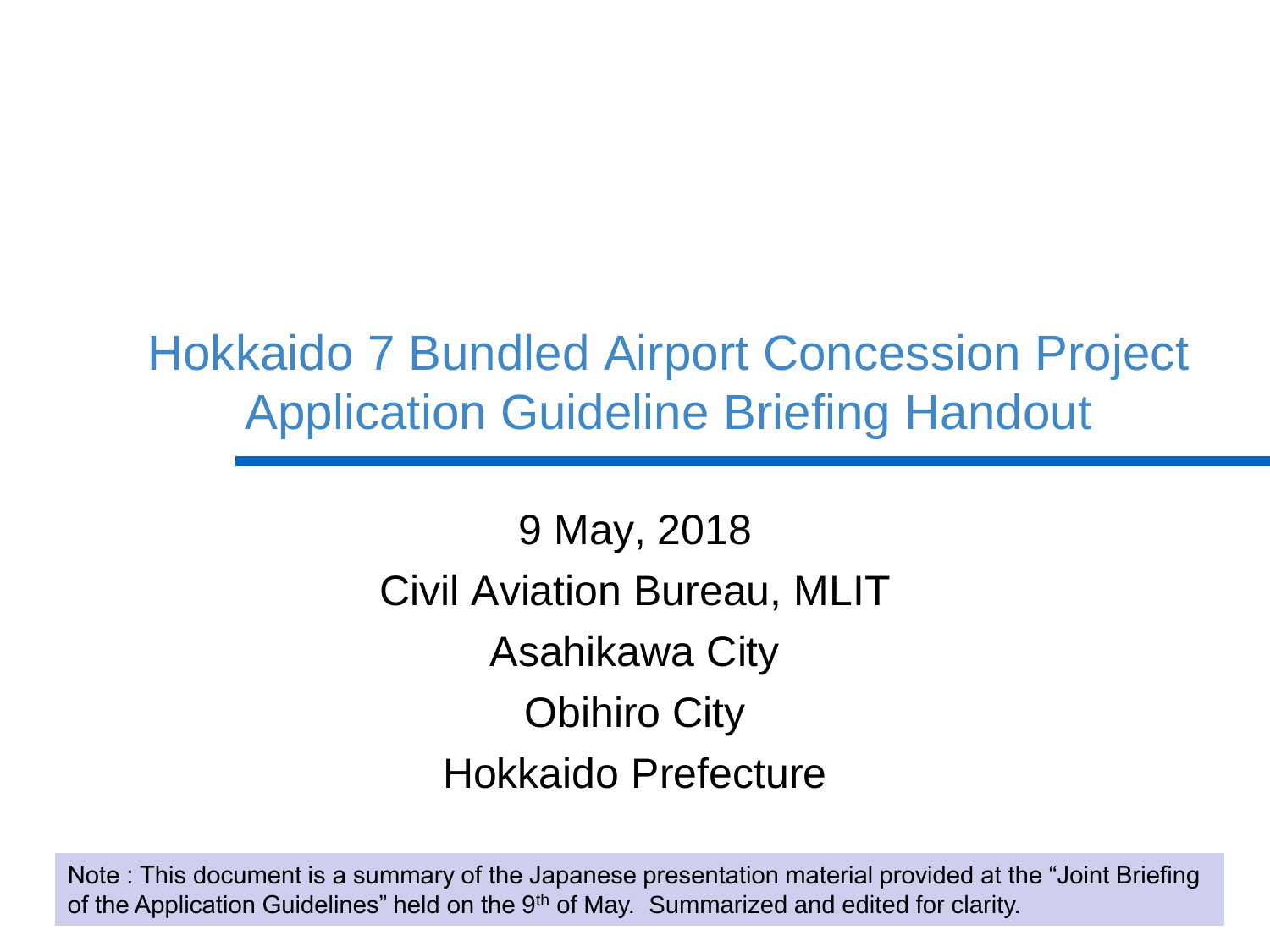# Hokkaido 7 Bundled Airport Concession Project Application Guideline Briefing Handout

9 May, 2018 Civil Aviation Bureau, MLIT Asahikawa City Obihiro City Hokkaido Prefecture

*Ministry of Land, Infrastructure, Transport and Tourism* Note : This document is a summary of the Japanese presentation material provided at the "Joint Briefing of the Application Guidelines" held on the 9<sup>th</sup> of May. Summarized and edited for clarity.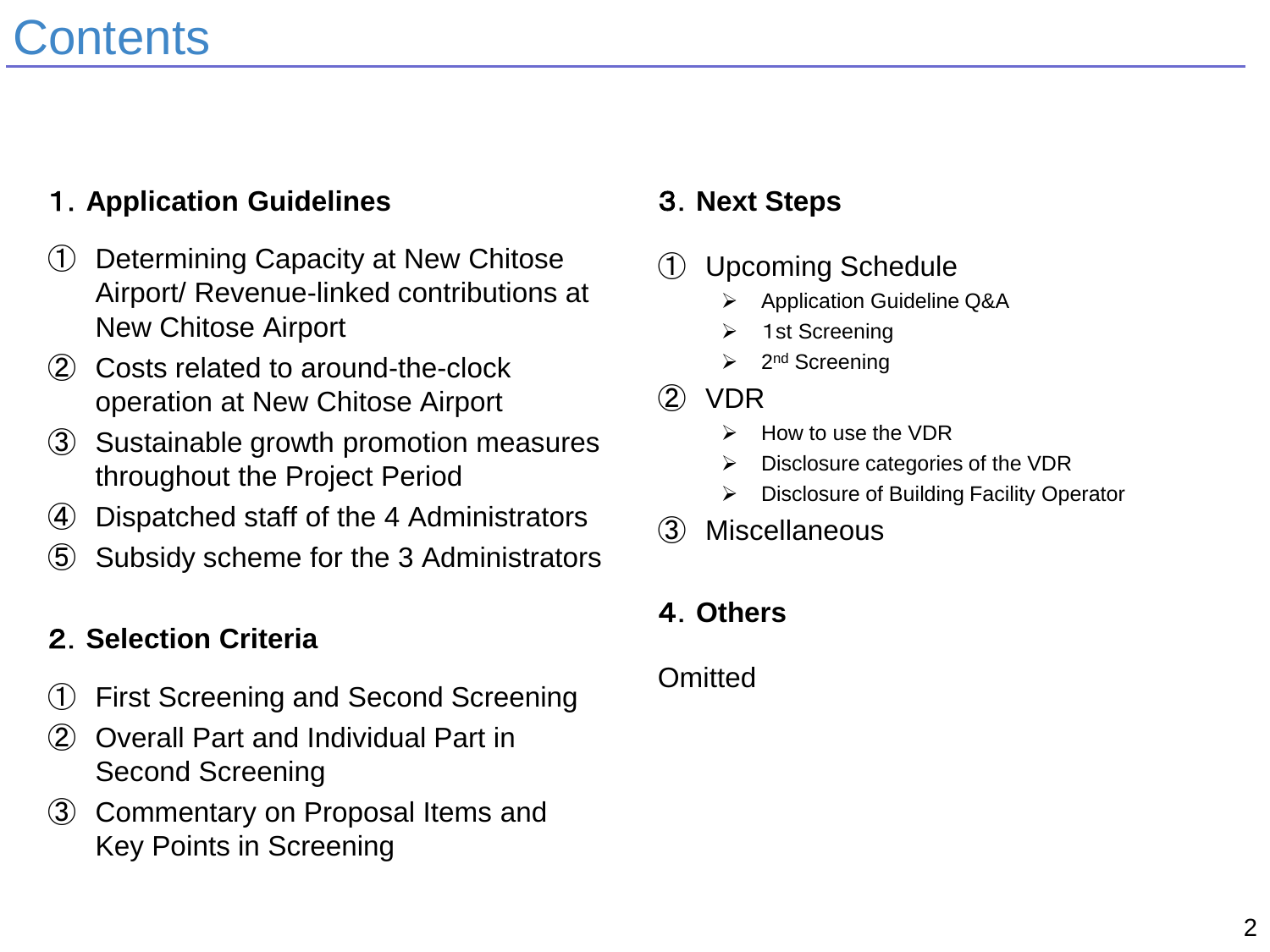# **Contents**

# 1.**Application Guidelines**

- ① Determining Capacity at New Chitose Airport/ Revenue-linked contributions at New Chitose Airport
- ② Costs related to around-the-clock operation at New Chitose Airport
- ③ Sustainable growth promotion measures throughout the Project Period
- ④ Dispatched staff of the 4 Administrators
- ⑤ Subsidy scheme for the 3 Administrators

# 2.**Selection Criteria**

- ① First Screening and Second Screening
- ② Overall Part and Individual Part in Second Screening
- ③ Commentary on Proposal Items and Key Points in Screening

## 3.**Next Steps**

- ① Upcoming Schedule
	- Application Guideline Q&A
	- 1st Screening
	- $\triangleright$  2<sup>nd</sup> Screening
- ② VDR
	- How to use the VDR
	- $\triangleright$  Disclosure categories of the VDR
	- Disclosure of Building Facility Operator
- ③ Miscellaneous

## 4.**Others**

### **Omitted**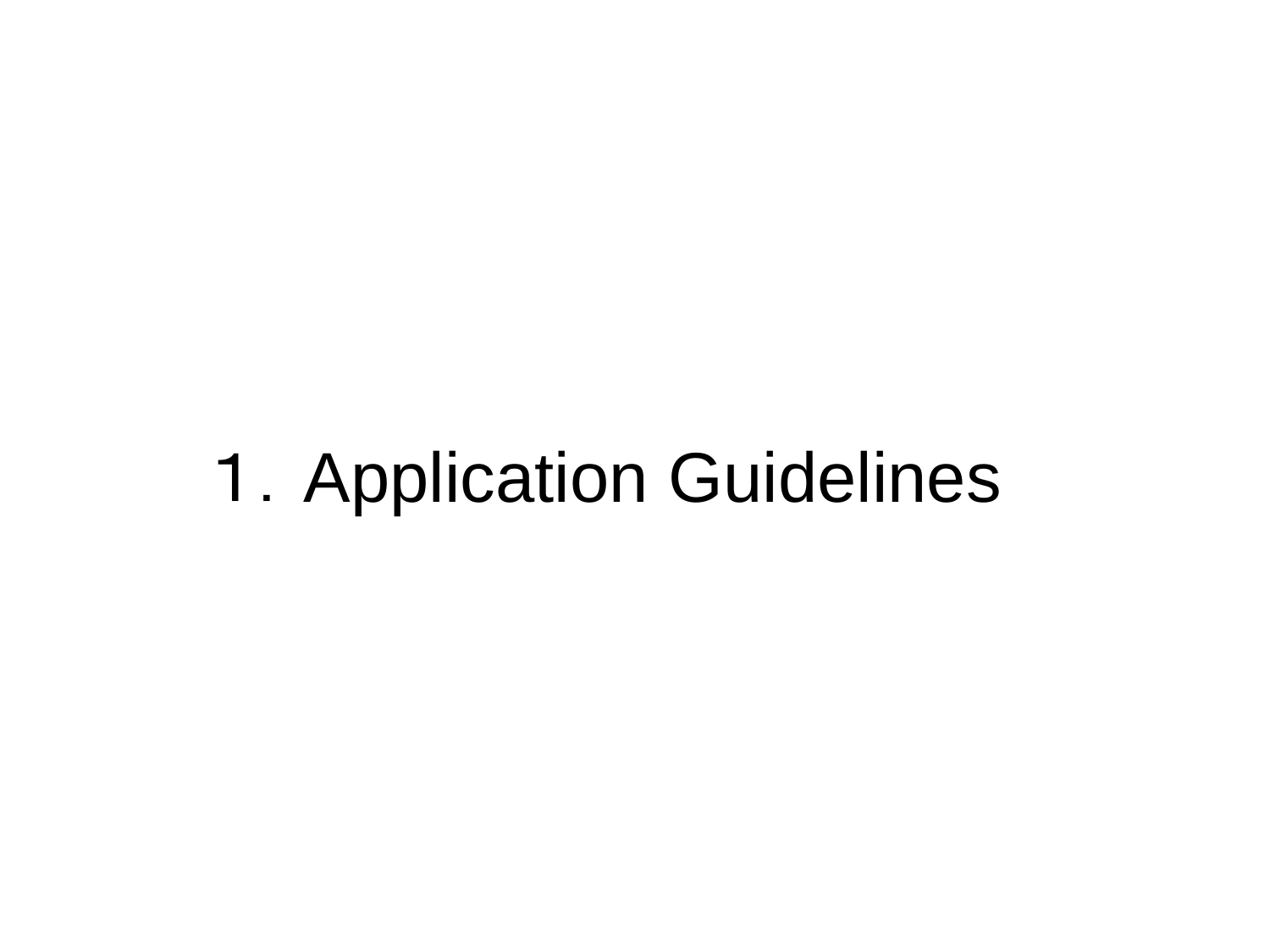# 1.Application Guidelines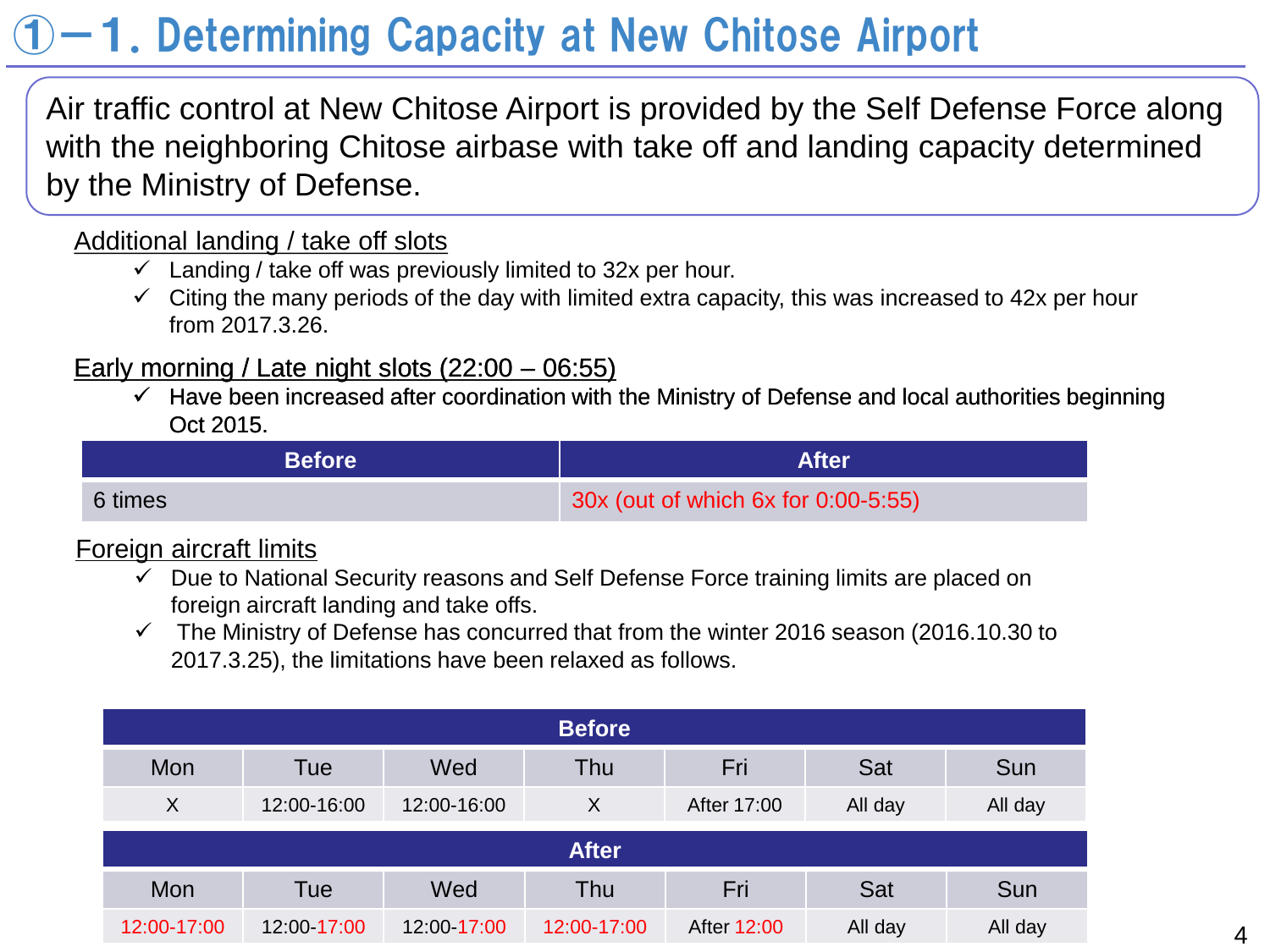# $-1$ . Determining Capacity at New Chitose Airport

Air traffic control at New Chitose Airport is provided by the Self Defense Force along with the neighboring Chitose airbase with take off and landing capacity determined by the Ministry of Defense.

### Additional landing / take off slots

- $\checkmark$  Landing / take off was previously limited to 32x per hour.
- $\checkmark$  Citing the many periods of the day with limited extra capacity, this was increased to 42x per hour from 2017.3.26.

### Early morning / Late night slots (22:00 – 06:55)

 $\checkmark$  Have been increased after coordination with the Ministry of Defense and local authorities beginning Oct 2015.

| <b>Before</b> | <b>After</b>                        |
|---------------|-------------------------------------|
| 6 times       | 30x (out of which 6x for 0:00-5:55) |

### Foreign aircraft limits

- $\checkmark$  Due to National Security reasons and Self Defense Force training limits are placed on foreign aircraft landing and take offs.
- $\checkmark$  The Ministry of Defense has concurred that from the winter 2016 season (2016.10.30 to 2017.3.25), the limitations have been relaxed as follows.

| <b>Before</b> |             |             |             |             |            |         |
|---------------|-------------|-------------|-------------|-------------|------------|---------|
| Mon           | Tue         | Wed         | Thu         | Fri         | Sat        | Sun     |
| X             | 12:00-16:00 | 12:00-16:00 | X           | After 17:00 | All day    | All day |
| <b>After</b>  |             |             |             |             |            |         |
| Mon           | Tue         | Wed         | Thu         | Fri         | <b>Sat</b> | Sun     |
| 12:00-17:00   | 12:00-17:00 | 12:00-17:00 | 12:00-17:00 | After 12:00 | All day    | All day |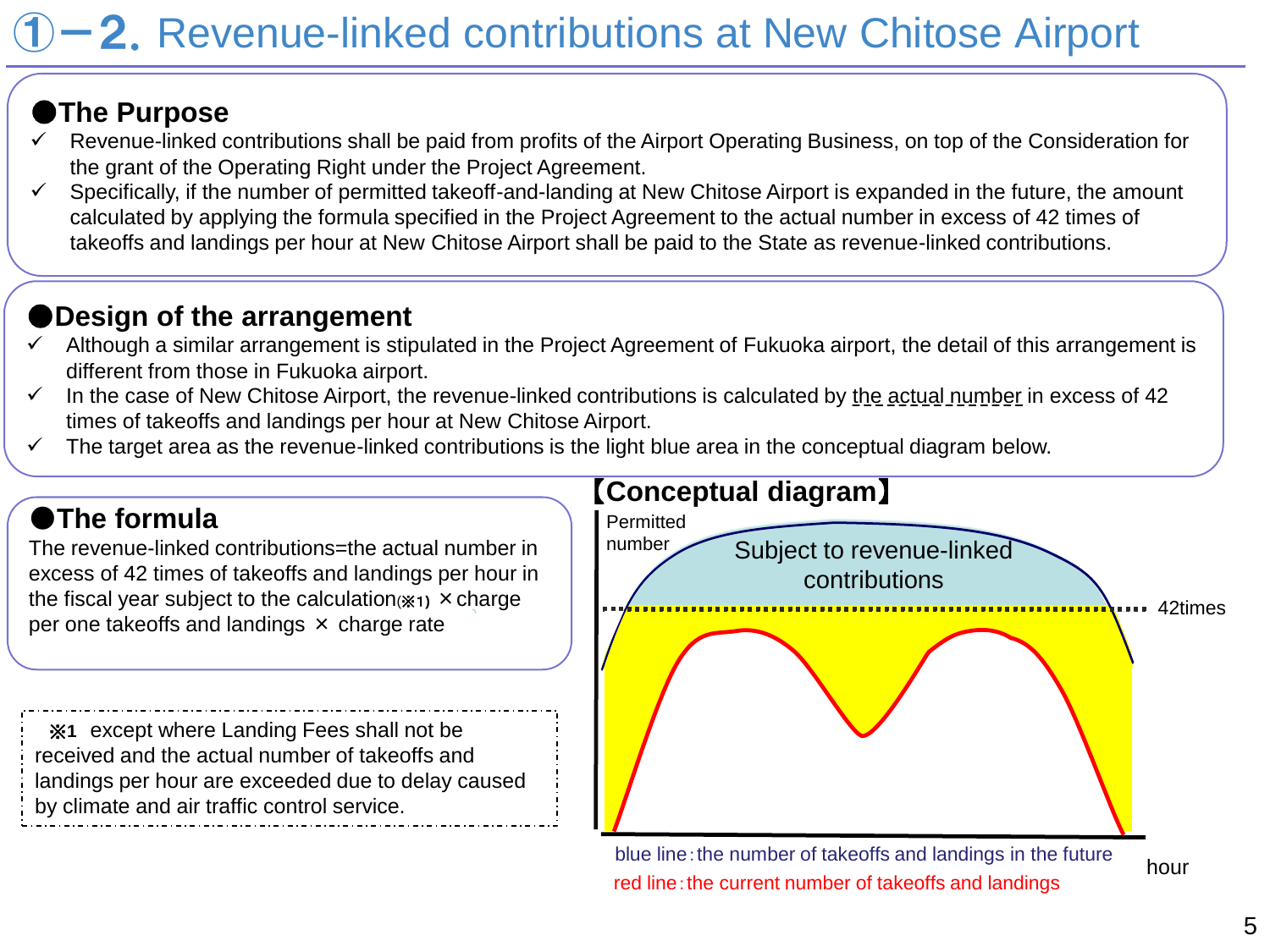# **-2.** Revenue-linked contributions at New Chitose Airport

## ●**The Purpose**

- Revenue-linked contributions shall be paid from profits of the Airport Operating Business, on top of the Consideration for the grant of the Operating Right under the Project Agreement.
- Specifically, if the number of permitted takeoff-and-landing at New Chitose Airport is expanded in the future, the amount calculated by applying the formula specified in the Project Agreement to the actual number in excess of 42 times of takeoffs and landings per hour at New Chitose Airport shall be paid to the State as revenue-linked contributions.

# ●**Design of the arrangement**

- Although a similar arrangement is stipulated in the Project Agreement of Fukuoka airport, the detail of this arrangement is different from those in Fukuoka airport.
- $\checkmark$  In the case of New Chitose Airport, the revenue-linked contributions is calculated by the actual number in excess of 42 times of takeoffs and landings per hour at New Chitose Airport.
- The target area as the revenue-linked contributions is the light blue area in the conceptual diagram below.

# ●**The formula**

The revenue-linked contributions=the actual number in excess of 42 times of takeoffs and landings per hour in the fiscal year subject to the calculation(※1**)** ×charge per one takeoffs and landings × charge rate

※**1** except where Landing Fees shall not be received and the actual number of takeoffs and landings per hour are exceeded due to delay caused by climate and air traffic control service.



blue line: the number of takeoffs and landings in the future red line: the current number of takeoffs and landings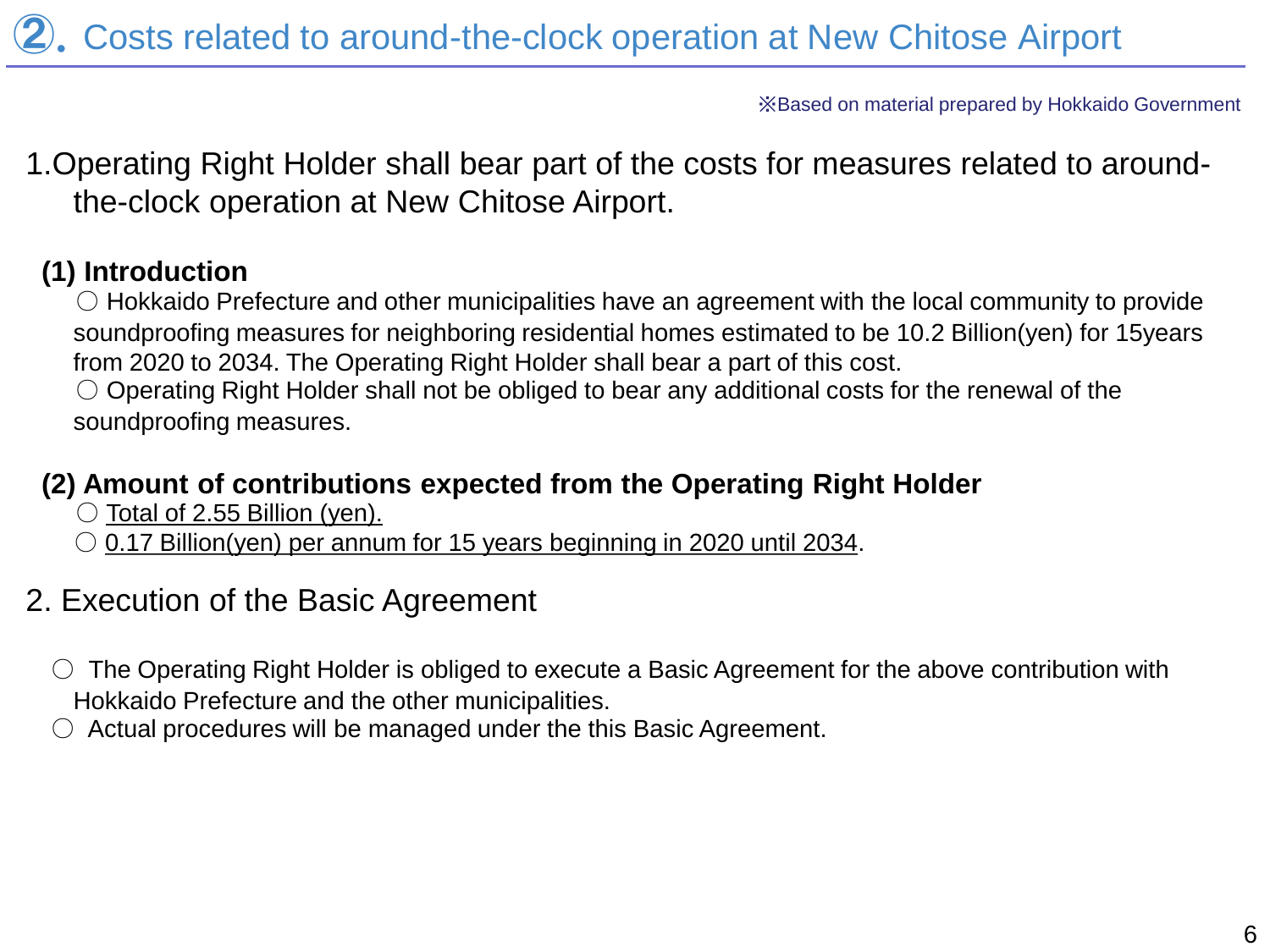※Based on material prepared by Hokkaido Government

1.Operating Right Holder shall bear part of the costs for measures related to aroundthe-clock operation at New Chitose Airport.

### **(1) Introduction**

 $\circlearrowright$  Hokkaido Prefecture and other municipalities have an agreement with the local community to provide soundproofing measures for neighboring residential homes estimated to be 10.2 Billion(yen) for 15years from 2020 to 2034. The Operating Right Holder shall bear a part of this cost.

 $\circlearrowright$  Operating Right Holder shall not be obliged to bear any additional costs for the renewal of the soundproofing measures.

### **(2) Amount of contributions expected from the Operating Right Holder**

- $\circlearrowright$  Total of 2.55 Billion (yen).
- $\circ$  0.17 Billion(yen) per annum for 15 years beginning in 2020 until 2034.

# 2. Execution of the Basic Agreement

- $\circ$  The Operating Right Holder is obliged to execute a Basic Agreement for the above contribution with Hokkaido Prefecture and the other municipalities.
- Actual procedures will be managed under the this Basic Agreement.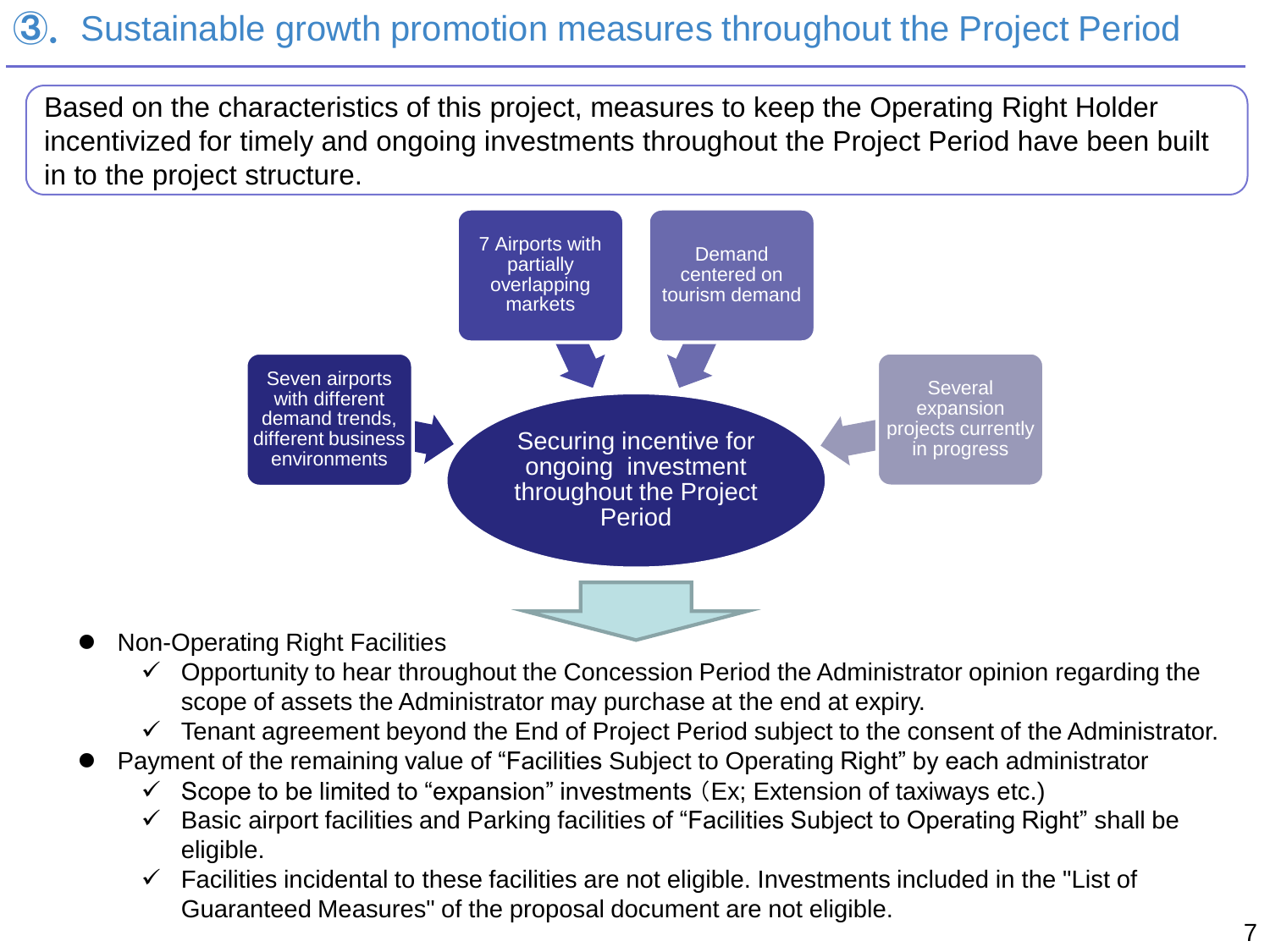# ③. Sustainable growth promotion measures throughout the Project Period

Based on the characteristics of this project, measures to keep the Operating Right Holder incentivized for timely and ongoing investments throughout the Project Period have been built in to the project structure.



- Non-Operating Right Facilities
	- $\checkmark$  Opportunity to hear throughout the Concession Period the Administrator opinion regarding the scope of assets the Administrator may purchase at the end at expiry.
	- $\checkmark$  Tenant agreement beyond the End of Project Period subject to the consent of the Administrator.
- Payment of the remaining value of "Facilities Subject to Operating Right" by each administrator
	- $\checkmark$  Scope to be limited to "expansion" investments (Ex; Extension of taxiways etc.)
	- Basic airport facilities and Parking facilities of "Facilities Subject to Operating Right" shall be eligible.
	- $\checkmark$  Facilities incidental to these facilities are not eligible. Investments included in the "List of Guaranteed Measures" of the proposal document are not eligible.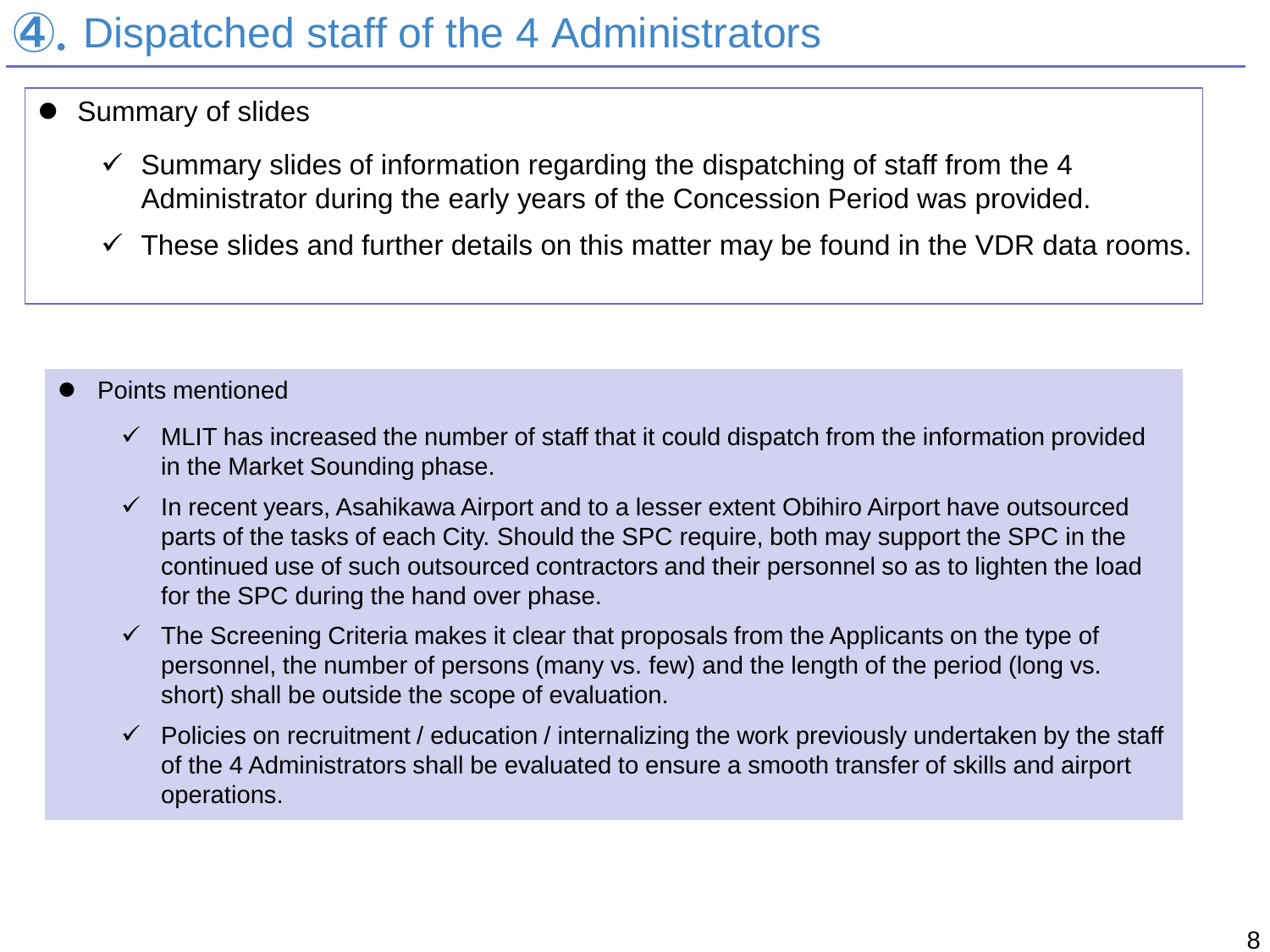# ④.Dispatched staff of the 4 Administrators

- Summary of slides
	- $\checkmark$  Summary slides of information regarding the dispatching of staff from the 4 Administrator during the early years of the Concession Period was provided.
	- $\checkmark$  These slides and further details on this matter may be found in the VDR data rooms.

### Points mentioned

- $\checkmark$  MLIT has increased the number of staff that it could dispatch from the information provided in the Market Sounding phase.
- $\checkmark$  In recent years, Asahikawa Airport and to a lesser extent Obihiro Airport have outsourced parts of the tasks of each City. Should the SPC require, both may support the SPC in the continued use of such outsourced contractors and their personnel so as to lighten the load for the SPC during the hand over phase.
- $\checkmark$  The Screening Criteria makes it clear that proposals from the Applicants on the type of personnel, the number of persons (many vs. few) and the length of the period (long vs. short) shall be outside the scope of evaluation.
- $\checkmark$  Policies on recruitment / education / internalizing the work previously undertaken by the staff of the 4 Administrators shall be evaluated to ensure a smooth transfer of skills and airport operations.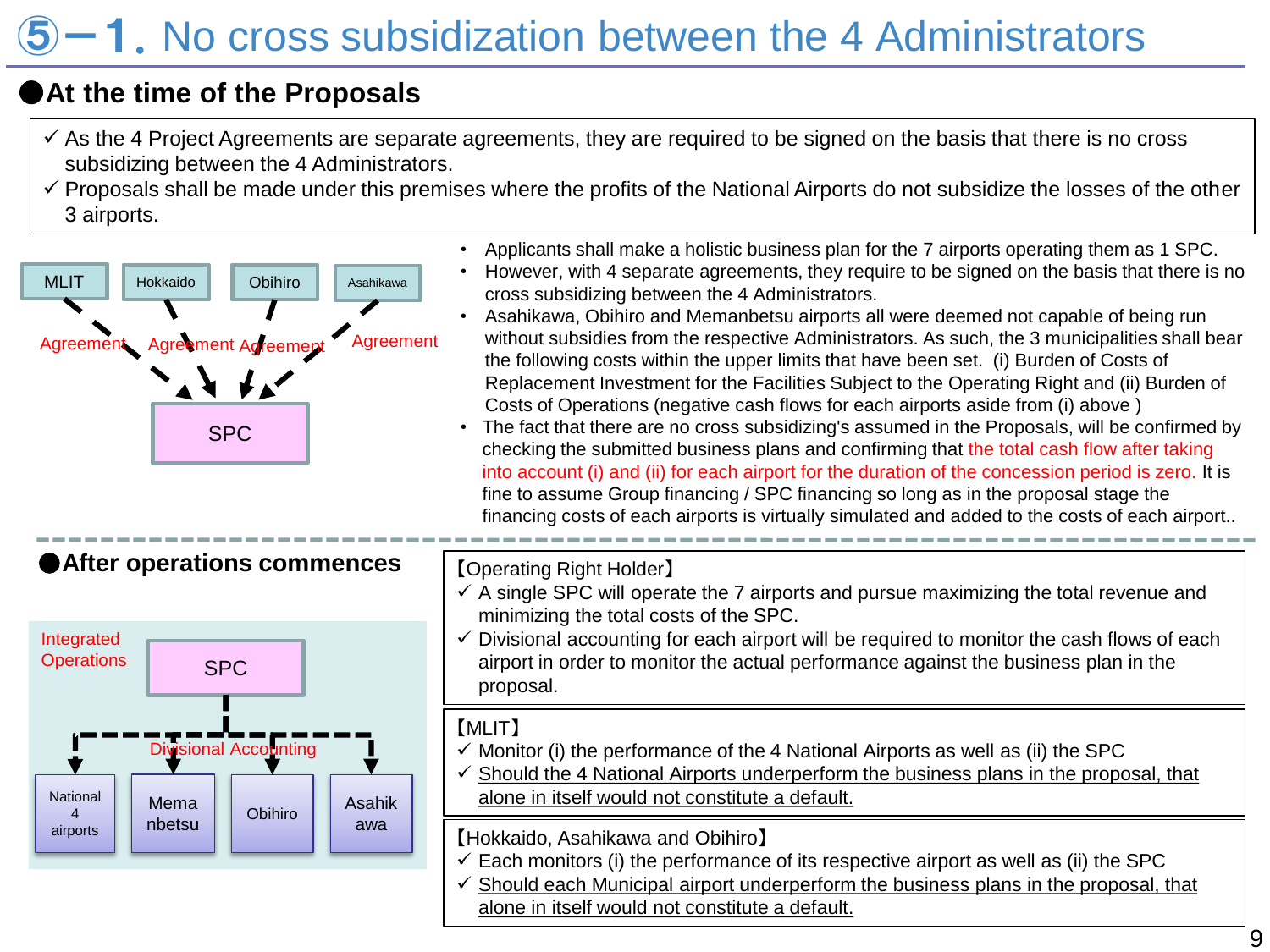# $5-1$ . No cross subsidization between the 4 Administrators

## ●**At the time of the Proposals**

- $\checkmark$  As the 4 Project Agreements are separate agreements, they are required to be signed on the basis that there is no cross subsidizing between the 4 Administrators.
- $\checkmark$  Proposals shall be made under this premises where the profits of the National Airports do not subsidize the losses of the other 3 airports.

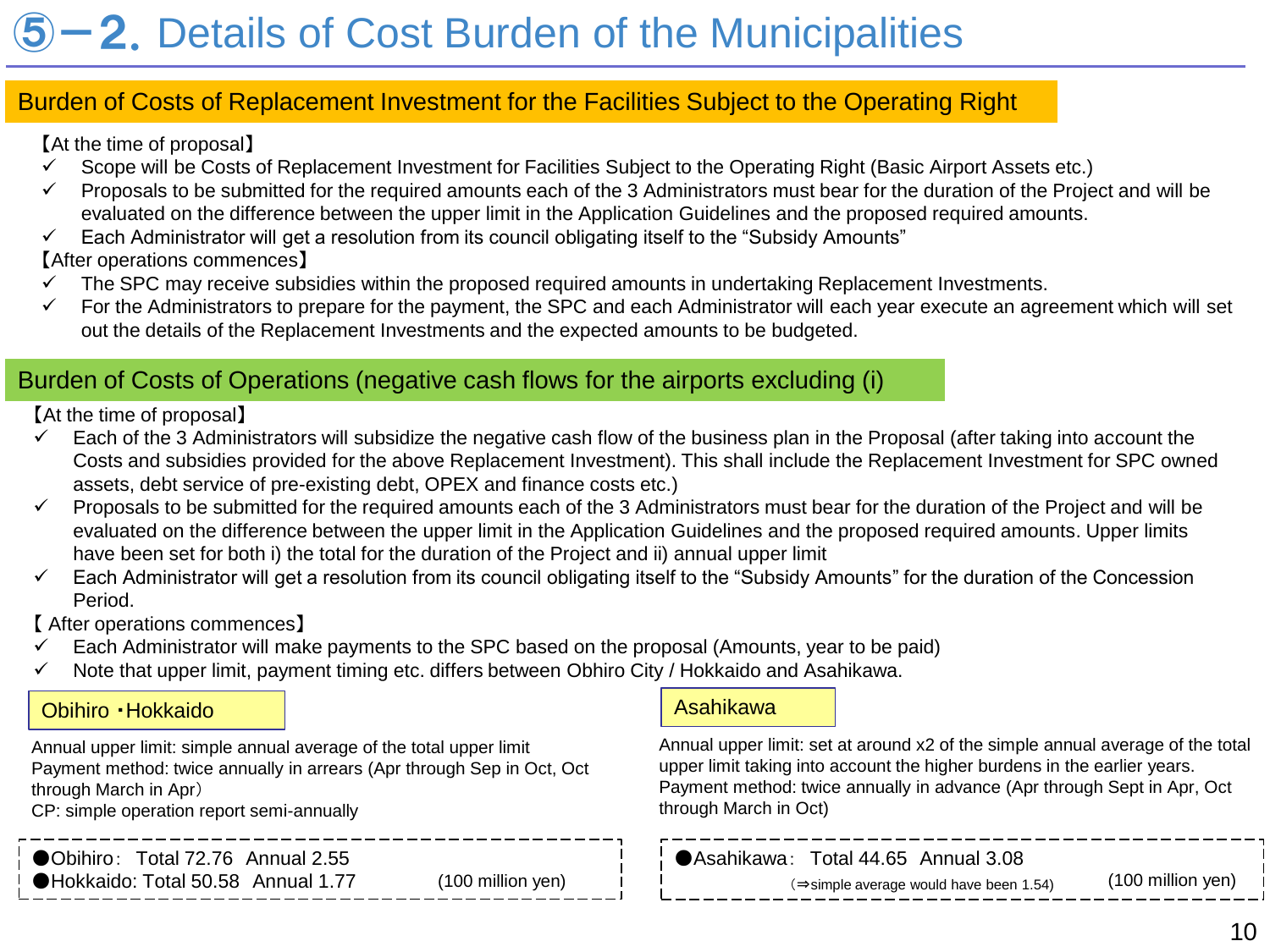# **-2.** Details of Cost Burden of the Municipalities

### Burden of Costs of Replacement Investment for the Facilities Subject to the Operating Right

【At the time of proposal】

- $\checkmark$  Scope will be Costs of Replacement Investment for Facilities Subject to the Operating Right (Basic Airport Assets etc.)
- $\checkmark$  Proposals to be submitted for the required amounts each of the 3 Administrators must bear for the duration of the Project and will be evaluated on the difference between the upper limit in the Application Guidelines and the proposed required amounts.
- $\checkmark$  Each Administrator will get a resolution from its council obligating itself to the "Subsidy Amounts"
- 【After operations commences】
- $\checkmark$  The SPC may receive subsidies within the proposed required amounts in undertaking Replacement Investments.
- $\checkmark$  For the Administrators to prepare for the payment, the SPC and each Administrator will each year execute an agreement which will set out the details of the Replacement Investments and the expected amounts to be budgeted.

### Burden of Costs of Operations (negative cash flows for the airports excluding (i)

【At the time of proposal】

- $\checkmark$  Each of the 3 Administrators will subsidize the negative cash flow of the business plan in the Proposal (after taking into account the Costs and subsidies provided for the above Replacement Investment). This shall include the Replacement Investment for SPC owned assets, debt service of pre-existing debt, OPEX and finance costs etc.)
- $\checkmark$  Proposals to be submitted for the required amounts each of the 3 Administrators must bear for the duration of the Project and will be evaluated on the difference between the upper limit in the Application Guidelines and the proposed required amounts. Upper limits have been set for both i) the total for the duration of the Project and ii) annual upper limit
- $\checkmark$  Each Administrator will get a resolution from its council obligating itself to the "Subsidy Amounts" for the duration of the Concession Period.

【 After operations commences】

- $\checkmark$  Each Administrator will make payments to the SPC based on the proposal (Amounts, year to be paid)
- $\checkmark$  Note that upper limit, payment timing etc. differs between Obhiro City / Hokkaido and Asahikawa.

### Obihiro · Hokkaido Asahikawa Asahikawa Asahikawa

Annual upper limit: simple annual average of the total upper limit Payment method: twice annually in arrears (Apr through Sep in Oct, Oct through March in Apr)

CP: simple operation report semi-annually

●Obihiro: Total 72.76 Annual 2.55 ●Hokkaido: Total 50.58 Annual 1.77

Annual upper limit: set at around x2 of the simple annual average of the total upper limit taking into account the higher burdens in the earlier years. Payment method: twice annually in advance (Apr through Sept in Apr, Oct through March in Oct)

●Asahikawa: Total 44.65 Annual 3.08 (⇒simple average would have been 1.54) (100 million yen) (100 million yen)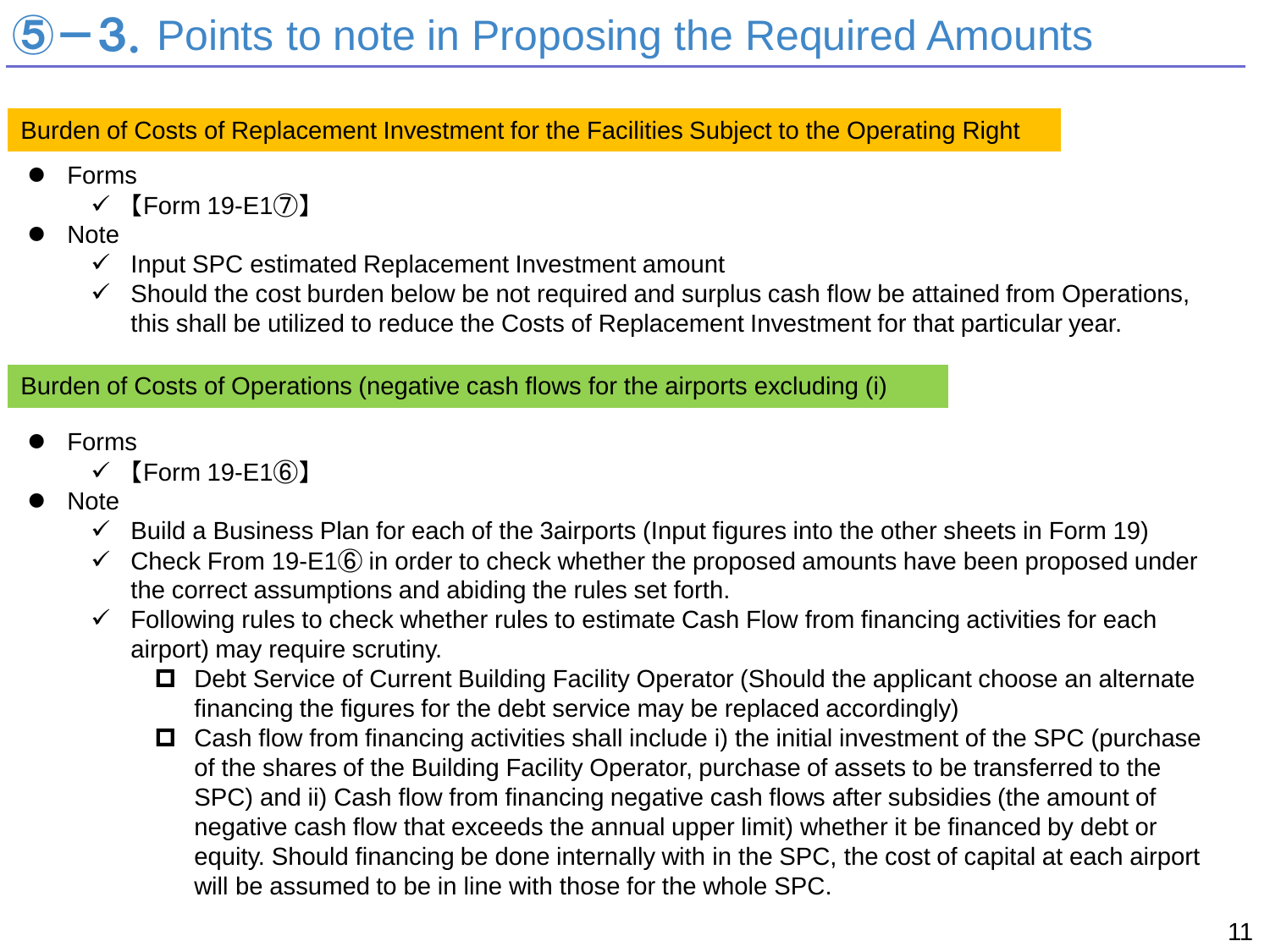# $5-3$ . Points to note in Proposing the Required Amounts

Burden of Costs of Replacement Investment for the Facilities Subject to the Operating Right

- Forms
	- $\checkmark$  [Form 19-E17)]
- **Note** 
	- $\checkmark$  Input SPC estimated Replacement Investment amount
	- $\checkmark$  Should the cost burden below be not required and surplus cash flow be attained from Operations, this shall be utilized to reduce the Costs of Replacement Investment for that particular year.

### Burden of Costs of Operations (negative cash flows for the airports excluding (i)

- Forms
	- $\checkmark$  [Form 19-E16]
- Note
	- $\checkmark$  Build a Business Plan for each of the 3airports (Input figures into the other sheets in Form 19)
	- $\checkmark$  Check From 19-E1 $\hat{\theta}$  in order to check whether the proposed amounts have been proposed under the correct assumptions and abiding the rules set forth.
	- $\checkmark$  Following rules to check whether rules to estimate Cash Flow from financing activities for each airport) may require scrutiny.
		- □ Debt Service of Current Building Facility Operator (Should the applicant choose an alternate financing the figures for the debt service may be replaced accordingly)
		- $\Box$  Cash flow from financing activities shall include i) the initial investment of the SPC (purchase of the shares of the Building Facility Operator, purchase of assets to be transferred to the SPC) and ii) Cash flow from financing negative cash flows after subsidies (the amount of negative cash flow that exceeds the annual upper limit) whether it be financed by debt or equity. Should financing be done internally with in the SPC, the cost of capital at each airport will be assumed to be in line with those for the whole SPC.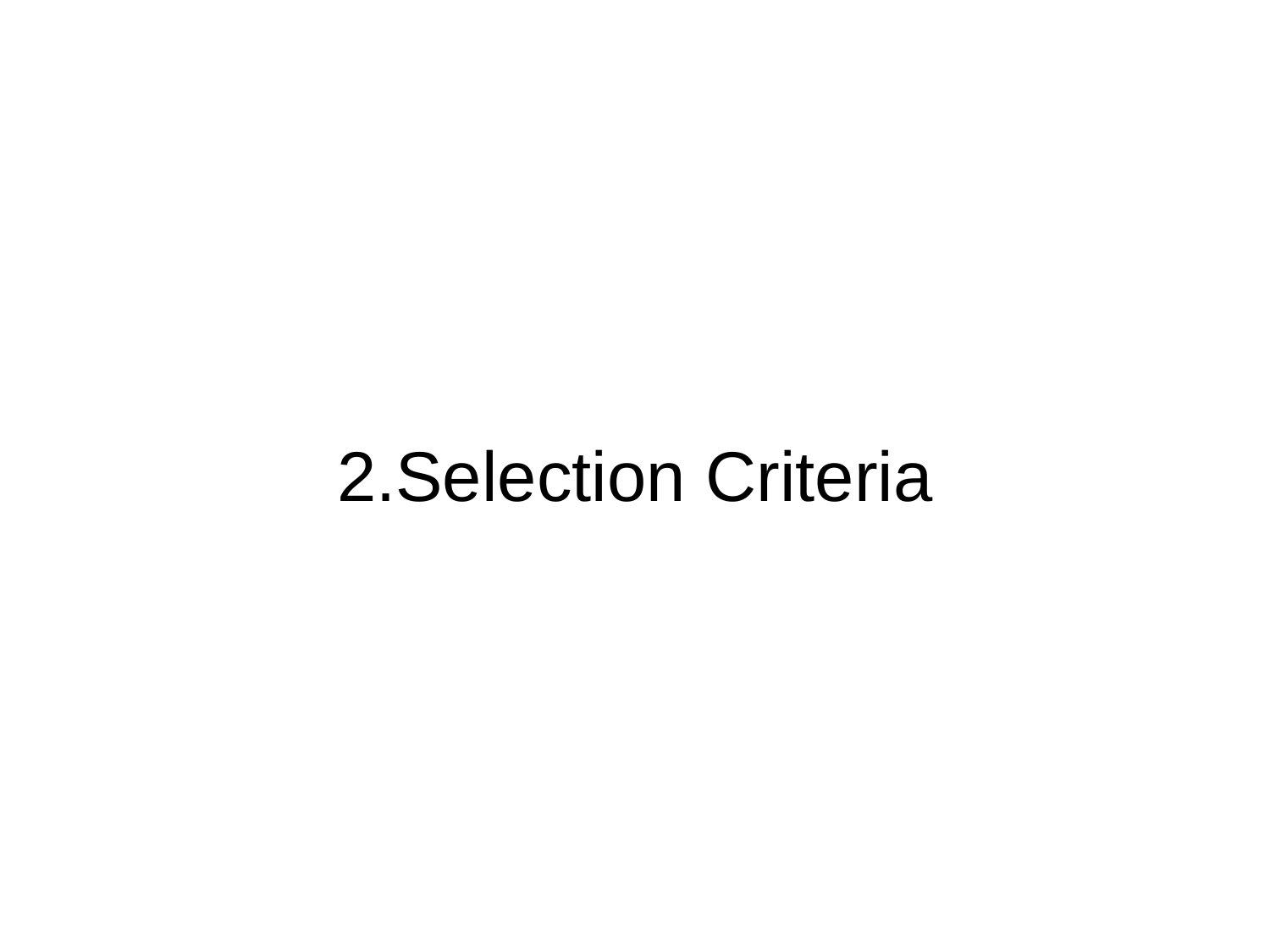# 2.Selection Criteria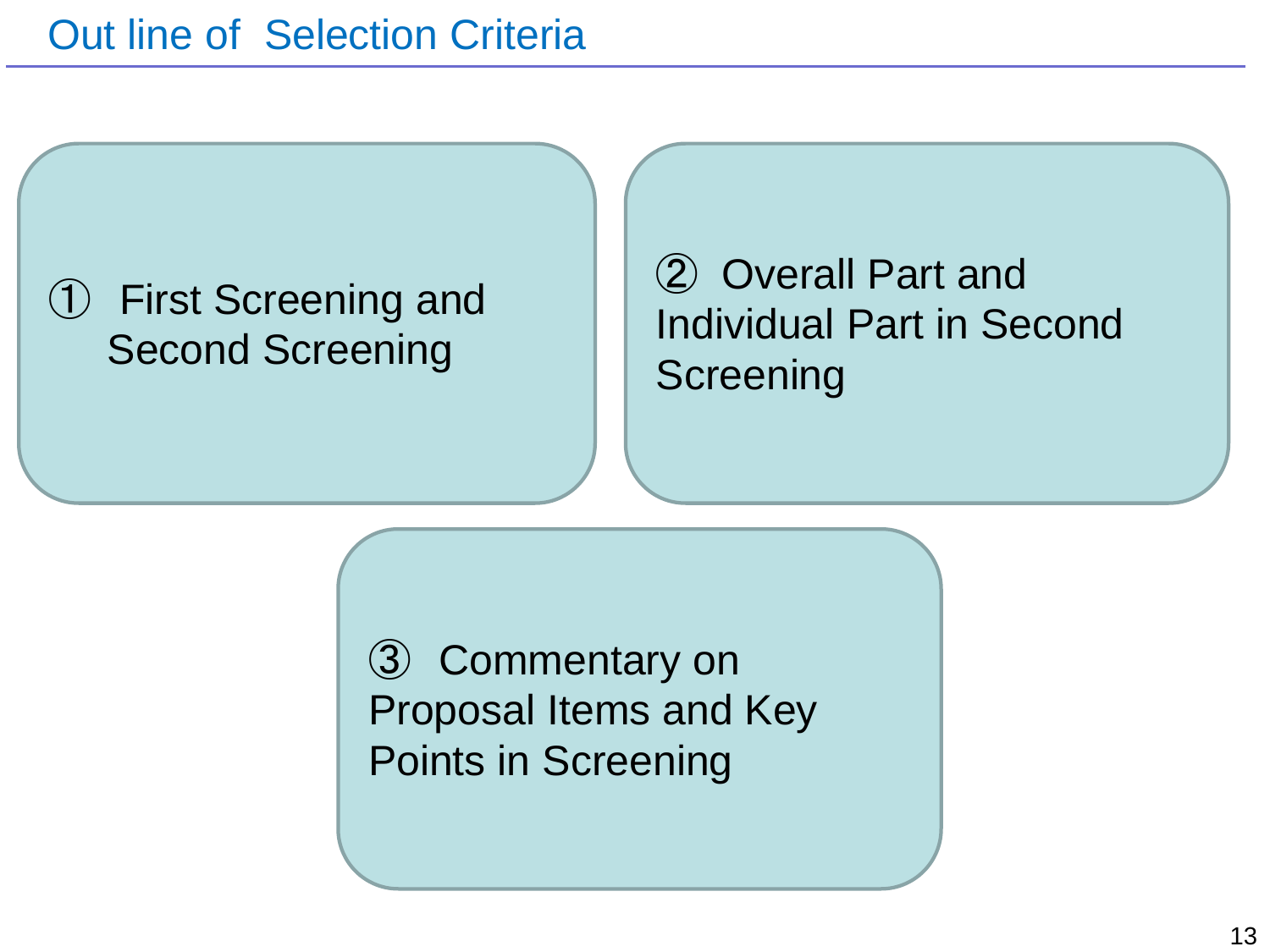# ➀ First Screening and Second Screening

② Overall Part and Individual Part in Second **Screening** 

➂ Commentary on Proposal Items and Key Points in Screening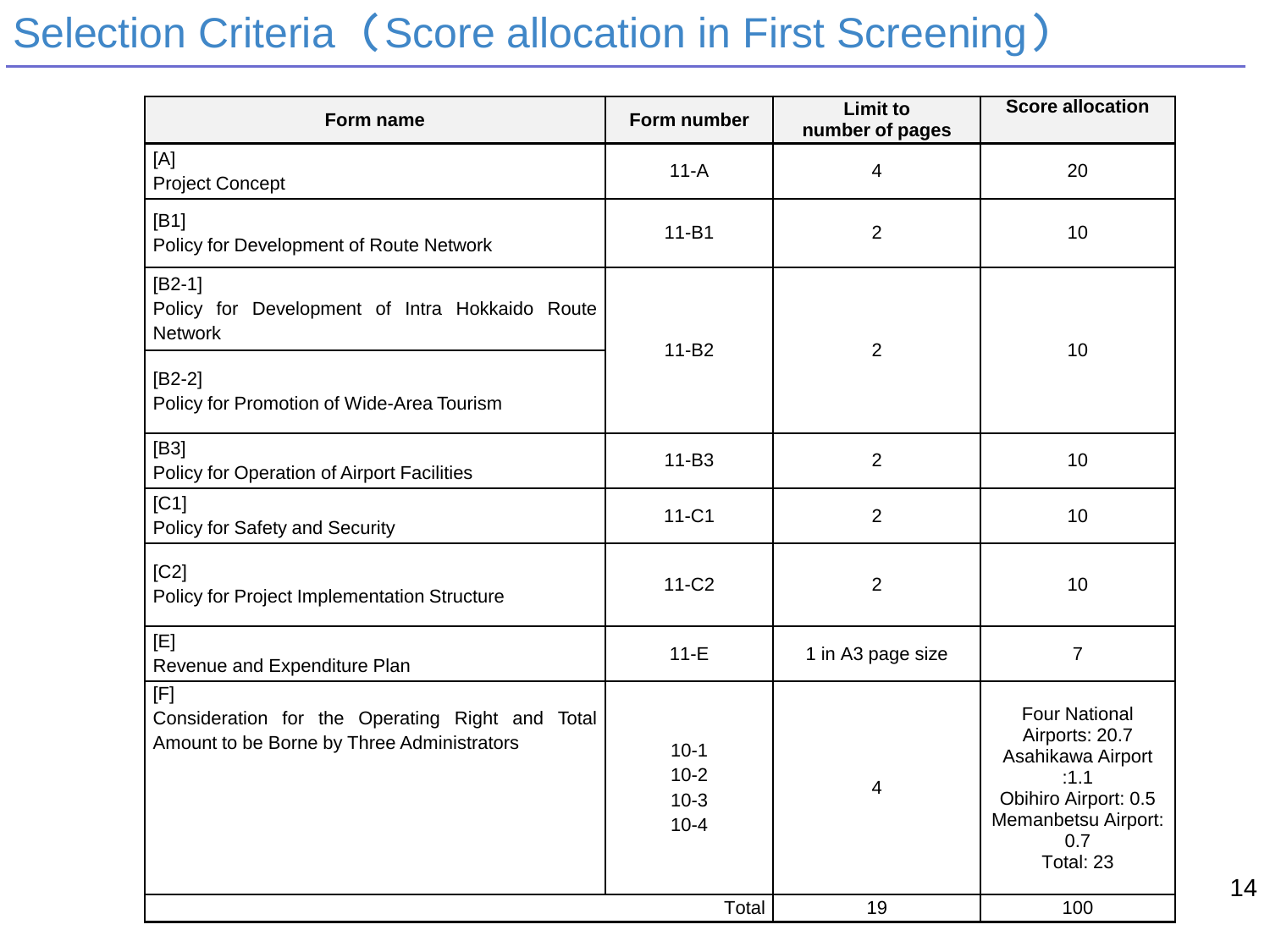# Selection Criteria (Score allocation in First Screening)

| Form name                                                                                            | Form number                            | <b>Limit to</b><br>number of pages | <b>Score allocation</b>                                                                                                                |
|------------------------------------------------------------------------------------------------------|----------------------------------------|------------------------------------|----------------------------------------------------------------------------------------------------------------------------------------|
| [A]<br><b>Project Concept</b>                                                                        | $11-A$                                 | $\overline{4}$                     | 20                                                                                                                                     |
| [B1]<br>Policy for Development of Route Network                                                      | $11 - B1$                              | $\overline{2}$                     | 10                                                                                                                                     |
| $[B2-1]$<br>Policy for Development of Intra Hokkaido Route<br><b>Network</b>                         | 11-B2                                  | $\overline{2}$                     | 10                                                                                                                                     |
| $[B2-2]$<br>Policy for Promotion of Wide-Area Tourism                                                |                                        |                                    |                                                                                                                                        |
| [ <b>B3</b> ]<br>Policy for Operation of Airport Facilities                                          | 11-B3                                  | $\overline{2}$                     | 10                                                                                                                                     |
| C1 <br>Policy for Safety and Security                                                                | $11-C1$                                | $\overline{2}$                     | 10                                                                                                                                     |
| [C2]<br>Policy for Project Implementation Structure                                                  | $11-C2$                                | $\overline{2}$                     | 10                                                                                                                                     |
| [E]<br>Revenue and Expenditure Plan                                                                  | $11-E$                                 | 1 in A3 page size                  | $\overline{7}$                                                                                                                         |
| [F]<br>Consideration for the Operating Right and Total<br>Amount to be Borne by Three Administrators | $10-1$<br>$10-2$<br>$10-3$<br>$10 - 4$ | 4                                  | <b>Four National</b><br>Airports: 20.7<br>Asahikawa Airport<br>:1.1<br>Obihiro Airport: 0.5<br>Memanbetsu Airport:<br>0.7<br>Total: 23 |
|                                                                                                      | Total                                  | 19                                 | 100                                                                                                                                    |

14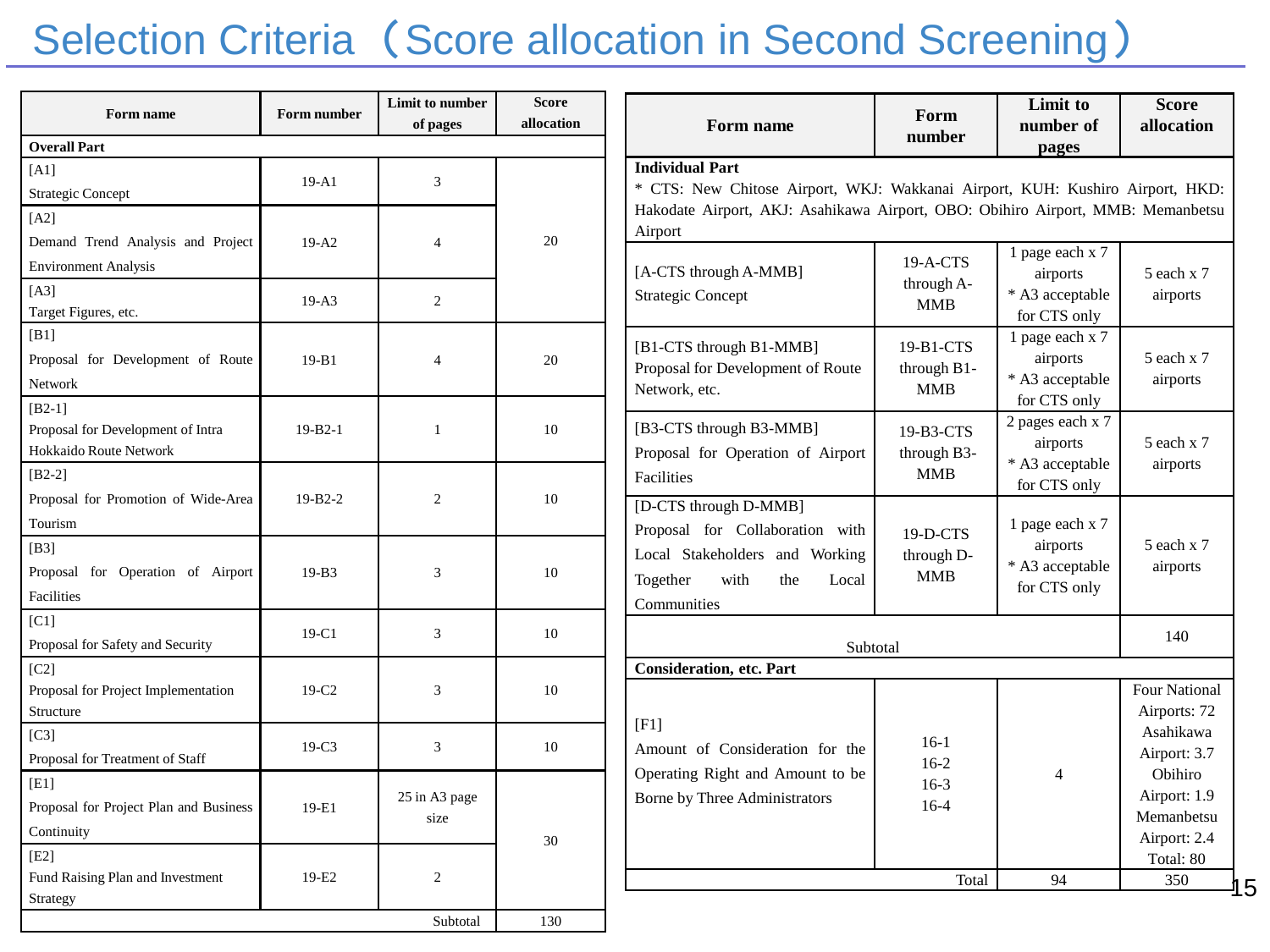# Selection Criteria (Score allocation in Second Screening)

| Form name                                                               | Form number       | Limit to number<br>of pages | <b>Score</b><br>allocation | Form name                                                                                                                                                                                  | Form                                   | Limit to<br>number of                                          | <b>Score</b><br>allocation                            |
|-------------------------------------------------------------------------|-------------------|-----------------------------|----------------------------|--------------------------------------------------------------------------------------------------------------------------------------------------------------------------------------------|----------------------------------------|----------------------------------------------------------------|-------------------------------------------------------|
| <b>Overall Part</b>                                                     |                   |                             |                            |                                                                                                                                                                                            | number                                 | pages                                                          |                                                       |
| [A1]<br><b>Strategic Concept</b>                                        | $19 - A1$         | 3                           |                            | <b>Individual Part</b><br>* CTS: New Chitose Airport, WKJ: Wakkanai Airport, KUH: Kushiro Airport, HKD:<br>Hakodate Airport, AKJ: Asahikawa Airport, OBO: Obihiro Airport, MMB: Memanbetsu |                                        |                                                                |                                                       |
| $[A2]$<br>Demand Trend Analysis and Project                             | $19-A2$           | $\overline{4}$              | 20                         | Airport                                                                                                                                                                                    |                                        | 1 page each x 7                                                |                                                       |
| <b>Environment Analysis</b><br>[A3]<br>Target Figures, etc.             | $19-A3$           | $\overline{2}$              |                            | [A-CTS through A-MMB]<br><b>Strategic Concept</b>                                                                                                                                          | 19-A-CTS<br>through A-<br><b>MMB</b>   | airports<br>* A3 acceptable<br>for CTS only                    | 5 each x 7<br>airports                                |
| [B1]<br>Proposal for Development of Route<br>Network                    | $19-B1$           | $\overline{4}$              | 20                         | [B1-CTS through B1-MMB]<br>Proposal for Development of Route<br>Network, etc.                                                                                                              | 19-B1-CTS<br>through B1-<br><b>MMB</b> | 1 page each x 7<br>airports<br>* A3 acceptable<br>for CTS only | 5 each x 7<br>airports                                |
| $[B2-1]$<br>Proposal for Development of Intra<br>Hokkaido Route Network | $19 - B2 - 1$     | 1                           | 10                         | [B3-CTS through B3-MMB]<br>Proposal for Operation of Airport                                                                                                                               | 19-B3-CTS<br>through B3-               | 2 pages each x 7<br>airports<br>* A3 acceptable                | 5 each x 7<br>airports                                |
| $[B2-2]$<br>Proposal for Promotion of Wide-Area<br>Tourism              | $19 - B2 - 2$     | $\overline{2}$              | 10                         | Facilities<br>[D-CTS through D-MMB]<br>Proposal for Collaboration with<br>Local Stakeholders and Working<br>Together<br>with<br>the<br>Local<br>Communities                                | MMB<br>19-D-CTS                        | for CTS only<br>1 page each x 7                                |                                                       |
| [B3]<br>Proposal for Operation of Airport<br>Facilities                 | $19-B3$           | 3                           | 10                         |                                                                                                                                                                                            | through D-<br>MMB                      | airports<br>* A3 acceptable<br>for CTS only                    | 5 each x 7<br>airports                                |
| [CI]<br>Proposal for Safety and Security                                | 19-C1             | 3                           | 10                         | Subtotal                                                                                                                                                                                   |                                        |                                                                | 140                                                   |
| [C2]<br>Proposal for Project Implementation<br>Structure                | 19-C <sub>2</sub> | 3                           | 10                         | <b>Consideration, etc. Part</b>                                                                                                                                                            |                                        |                                                                | <b>Four National</b><br>Airports: 72                  |
| [C3]<br>Proposal for Treatment of Staff                                 | $19-C3$           | 3                           | 10                         | $[$ F1]<br>Amount of Consideration for the<br>Operating Right and Amount to be<br>Borne by Three Administrators                                                                            | $16-1$<br>$16-2$<br>$16-3$<br>$16-4$   | $\overline{4}$                                                 | Asahikawa<br>Airport: 3.7                             |
| [E1]<br>Proposal for Project Plan and Business<br>Continuity            | 19-E1             | 25 in A3 page<br>size       | 30                         |                                                                                                                                                                                            |                                        |                                                                | Obihiro<br>Airport: 1.9<br>Memanbetsu<br>Airport: 2.4 |
| [E2]<br>Fund Raising Plan and Investment<br>Strategy                    | 19-E2             | $\overline{2}$              |                            |                                                                                                                                                                                            | Total                                  | 94                                                             | Total: 80<br>350                                      |
|                                                                         |                   | Subtotal                    | 130                        |                                                                                                                                                                                            |                                        |                                                                |                                                       |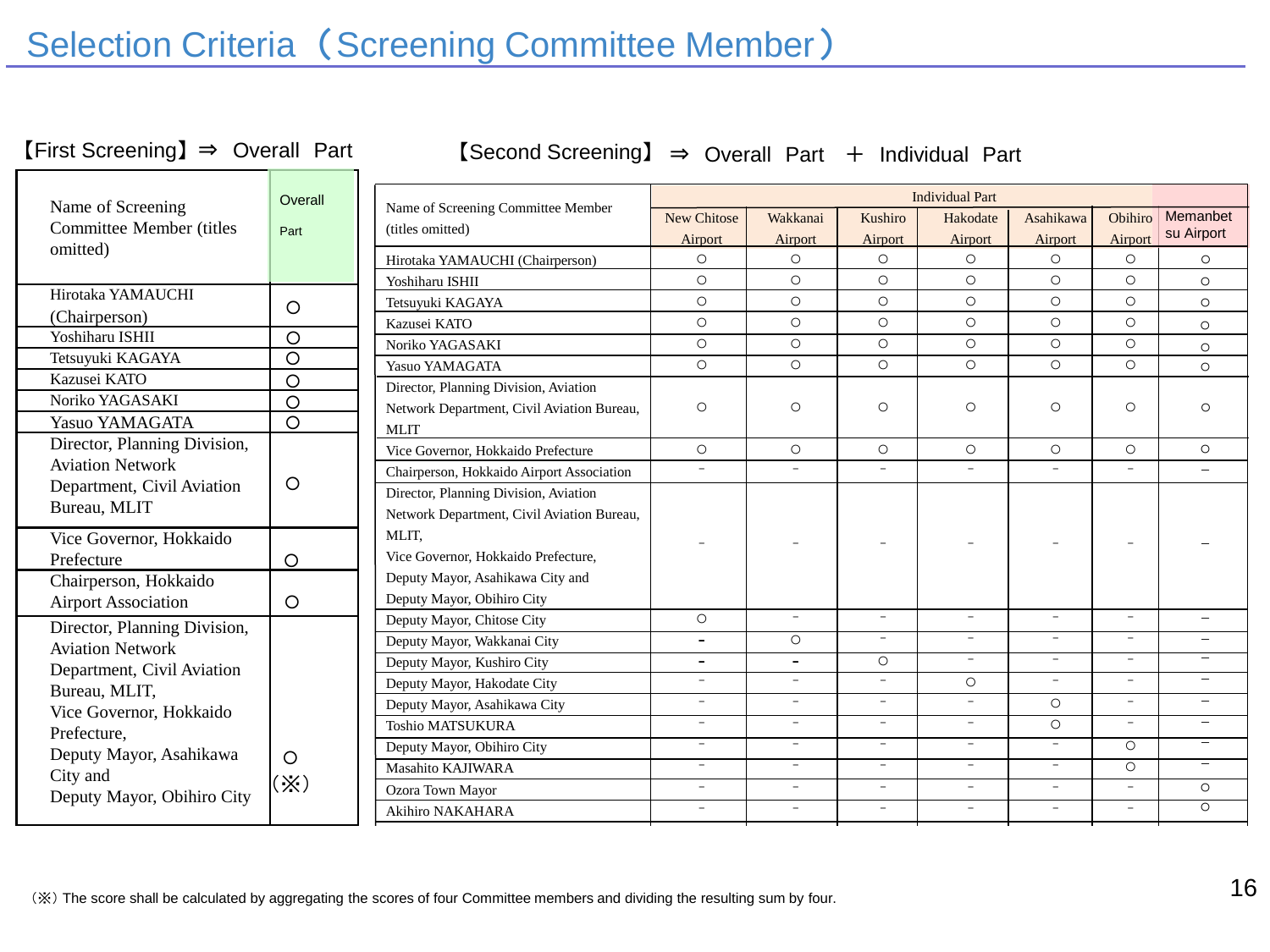# Selection Criteria (Screening Committee Member)

【First Screening】

 $\mathbf{r}$  $\mathbb{R}$  +  $\mathbb{R}$  +  $\mathbb{R}$  +  $\mathbb{R}$  +  $\mathbb{R}$  +  $\mathbb{R}$  +  $\mathbb{R}$  +  $\mathbb{R}$  +  $\mathbb{R}$  +  $\mathbb{R}$  +  $\mathbb{R}$  +  $\mathbb{R}$  +  $\mathbb{R}$  +  $\mathbb{R}$  +  $\mathbb{R}$  +  $\mathbb{R}$  +  $\mathbb{R}$  +  $\mathbb{R}$  +  $\mathbb{R}$  +  $\mathbb{R}$  + 【Second Screening】 ⇒ Overall Part ⇒ Overall Part + Individual Part

| Name of Screening               | Overall    |
|---------------------------------|------------|
| <b>Committee Member (titles</b> | Part       |
| omitted)                        |            |
|                                 |            |
| Hirotaka YAMAUCHI               | Ω          |
| (Chairperson)                   |            |
| Yoshiharu ISHII                 |            |
| Tetsuyuki KAGAYA                |            |
| Kazusei KATO                    | O          |
| Noriko YAGASAKI                 | С          |
| Yasuo YAMAGATA                  |            |
| Director, Planning Division,    |            |
| <b>Aviation Network</b>         |            |
| Department, Civil Aviation      |            |
| Bureau, MLIT                    |            |
| Vice Governor, Hokkaido         |            |
| Prefecture                      |            |
| Chairperson, Hokkaido           |            |
| <b>Airport Association</b>      | ∩          |
| Director, Planning Division,    |            |
| <b>Aviation Network</b>         |            |
| Department, Civil Aviation      |            |
| Bureau, MLIT,                   |            |
| Vice Governor, Hokkaido         |            |
| Prefecture,                     |            |
| Deputy Mayor, Asahikawa         |            |
| City and                        | $(\times)$ |
| Deputy Mayor, Obihiro City      |            |

|                                                        | <b>Individual Part</b>   |                          |                          |                          |                          |                          |                          |
|--------------------------------------------------------|--------------------------|--------------------------|--------------------------|--------------------------|--------------------------|--------------------------|--------------------------|
| Name of Screening Committee Member<br>(titles omitted) | <b>New Chitose</b>       | Wakkanai                 | Kushiro                  | Hakodate                 | Asahikawa                | Obihiro                  | Memanbet                 |
|                                                        | Airport                  | Airport                  | Airport                  | Airport                  | Airport                  | Airport                  | su Airport               |
| Hirotaka YAMAUCHI (Chairperson)                        | $\circ$                  | $\circ$                  | $\circ$                  | $\circ$                  | $\circ$                  | $\circ$                  | $\circ$                  |
| Yoshiharu ISHII                                        | $\circ$                  | $\circ$                  | $\circ$                  | $\circ$                  | $\circ$                  | $\circ$                  | $\circ$                  |
| Tetsuyuki KAGAYA                                       | $\circ$                  | $\circ$                  | $\circ$                  | $\circ$                  | $\circ$                  | $\circ$                  | $\circ$                  |
| Kazusei KATO                                           | $\circ$                  | $\circ$                  | $\circ$                  | $\circ$                  | $\circ$                  | $\circ$                  | $\circ$                  |
| Noriko YAGASAKI                                        | $\circ$                  | $\circ$                  | $\circ$                  | $\circ$                  | $\circ$                  | $\circ$                  | $\circ$                  |
| Yasuo YAMAGATA                                         | $\circ$                  | $\circ$                  | $\circ$                  | $\circ$                  | $\circ$                  | $\circ$                  | $\circ$                  |
| Director, Planning Division, Aviation                  |                          |                          |                          |                          |                          |                          |                          |
| Network Department, Civil Aviation Bureau,             | $\circ$                  | Ο                        | $\circ$                  | $\circ$                  | $\circ$                  | $\circ$                  | O                        |
| <b>MLIT</b>                                            |                          |                          |                          |                          |                          |                          |                          |
| Vice Governor, Hokkaido Prefecture                     | $\circ$                  | $\circ$                  | $\circ$                  | $\circ$                  | $\circ$                  | $\circ$                  | $\circ$                  |
| Chairperson, Hokkaido Airport Association              | $\overline{\phantom{0}}$ | $\overline{\phantom{a}}$ | $\overline{\phantom{0}}$ | $\overline{\phantom{a}}$ | $\overline{\phantom{a}}$ | $\overline{\phantom{0}}$ | $\overline{\phantom{0}}$ |
| Director, Planning Division, Aviation                  |                          |                          |                          |                          |                          |                          |                          |
| Network Department, Civil Aviation Bureau,             |                          |                          |                          |                          |                          |                          |                          |
| MLIT.                                                  |                          |                          |                          |                          |                          |                          |                          |
| Vice Governor, Hokkaido Prefecture,                    |                          |                          |                          |                          |                          |                          |                          |
| Deputy Mayor, Asahikawa City and                       |                          |                          |                          |                          |                          |                          |                          |
| Deputy Mayor, Obihiro City                             |                          |                          |                          |                          |                          |                          |                          |
| Deputy Mayor, Chitose City                             | $\circ$                  | $\equiv$                 | $-$                      | $\overline{\phantom{0}}$ | $-$                      | $\overline{\phantom{0}}$ |                          |
| Deputy Mayor, Wakkanai City                            | $\overline{\phantom{0}}$ | $\circ$                  | $\overline{\phantom{0}}$ | $\overline{\phantom{a}}$ | $\overline{\phantom{a}}$ | $\overline{\phantom{0}}$ |                          |
| Deputy Mayor, Kushiro City                             | -                        | $\overline{\phantom{a}}$ | $\circ$                  | $\overline{\phantom{0}}$ | $\overline{\phantom{a}}$ | $\equiv$                 |                          |
| Deputy Mayor, Hakodate City                            | $\overline{\phantom{0}}$ | $\equiv$                 | $\overline{\phantom{a}}$ | $\circ$                  | $\overline{\phantom{a}}$ | $\overline{\phantom{a}}$ | $\overline{\phantom{0}}$ |
| Deputy Mayor, Asahikawa City                           | $\overline{\phantom{0}}$ | $\overline{\phantom{a}}$ | $\overline{\phantom{0}}$ | $\overline{\phantom{a}}$ | $\circ$                  | $\overline{\phantom{a}}$ | $\overline{\phantom{0}}$ |
| <b>Toshio MATSUKURA</b>                                | $\overline{\phantom{0}}$ | $\overline{\phantom{a}}$ | $\overline{\phantom{0}}$ | $\overline{\phantom{a}}$ | $\circ$                  | $\overline{\phantom{0}}$ |                          |
| Deputy Mayor, Obihiro City                             | $\equiv$                 | $-$                      | $\overline{\phantom{a}}$ | $-$                      | $\overline{\phantom{a}}$ | $\circ$                  | $\overline{\phantom{0}}$ |
| Masahito KAJIWARA                                      | $\overline{\phantom{0}}$ | $\overline{\phantom{a}}$ | $\overline{\phantom{a}}$ | $\overline{\phantom{a}}$ | $\overline{\phantom{a}}$ | $\circ$                  | $\equiv$                 |
| Ozora Town Mayor                                       | $\overline{\phantom{0}}$ | $\overline{\phantom{a}}$ | $\overline{\phantom{0}}$ | $\overline{\phantom{a}}$ | $\overline{\phantom{a}}$ | $\overline{\phantom{a}}$ | $\circ$                  |
| Akihiro NAKAHARA                                       | $\overline{\phantom{0}}$ | $\equiv$                 | $\equiv$                 | $\overline{\phantom{a}}$ | $\overline{\phantom{0}}$ | $\overline{\phantom{0}}$ | $\Omega$                 |
|                                                        |                          |                          |                          |                          |                          |                          |                          |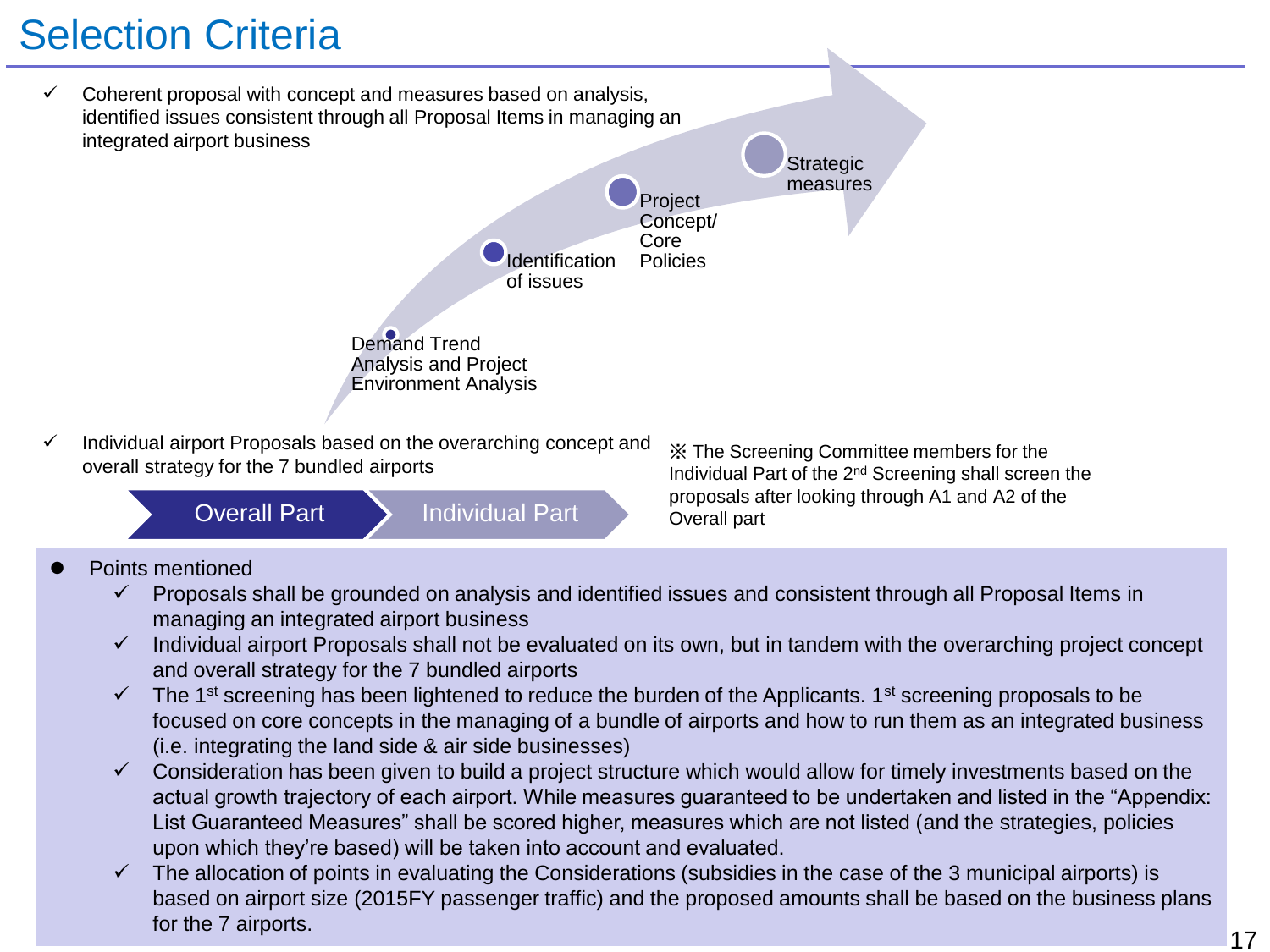# Selection Criteria

- Demand Trend Analysis and Project Environment Analysis **Identification** of issues **Project** Concept/ Core Policies **Strategic** measures Coherent proposal with concept and measures based on analysis, identified issues consistent through all Proposal Items in managing an integrated airport business Individual airport Proposals based on the overarching concept and
- overall strategy for the 7 bundled airports

Overall Part > Individual Part > Overall part

※ The Screening Committee members for the Individual Part of the 2nd Screening shall screen the proposals after looking through A1 and A2 of the

### Points mentioned

- $\checkmark$  Proposals shall be grounded on analysis and identified issues and consistent through all Proposal Items in managing an integrated airport business
- $\checkmark$  Individual airport Proposals shall not be evaluated on its own, but in tandem with the overarching project concept and overall strategy for the 7 bundled airports
- $\checkmark$  The 1<sup>st</sup> screening has been lightened to reduce the burden of the Applicants. 1<sup>st</sup> screening proposals to be focused on core concepts in the managing of a bundle of airports and how to run them as an integrated business (i.e. integrating the land side & air side businesses)
- $\checkmark$  Consideration has been given to build a project structure which would allow for timely investments based on the actual growth trajectory of each airport. While measures guaranteed to be undertaken and listed in the "Appendix: List Guaranteed Measures" shall be scored higher, measures which are not listed (and the strategies, policies upon which they're based) will be taken into account and evaluated.
- $\checkmark$  The allocation of points in evaluating the Considerations (subsidies in the case of the 3 municipal airports) is based on airport size (2015FY passenger traffic) and the proposed amounts shall be based on the business plans for the 7 airports.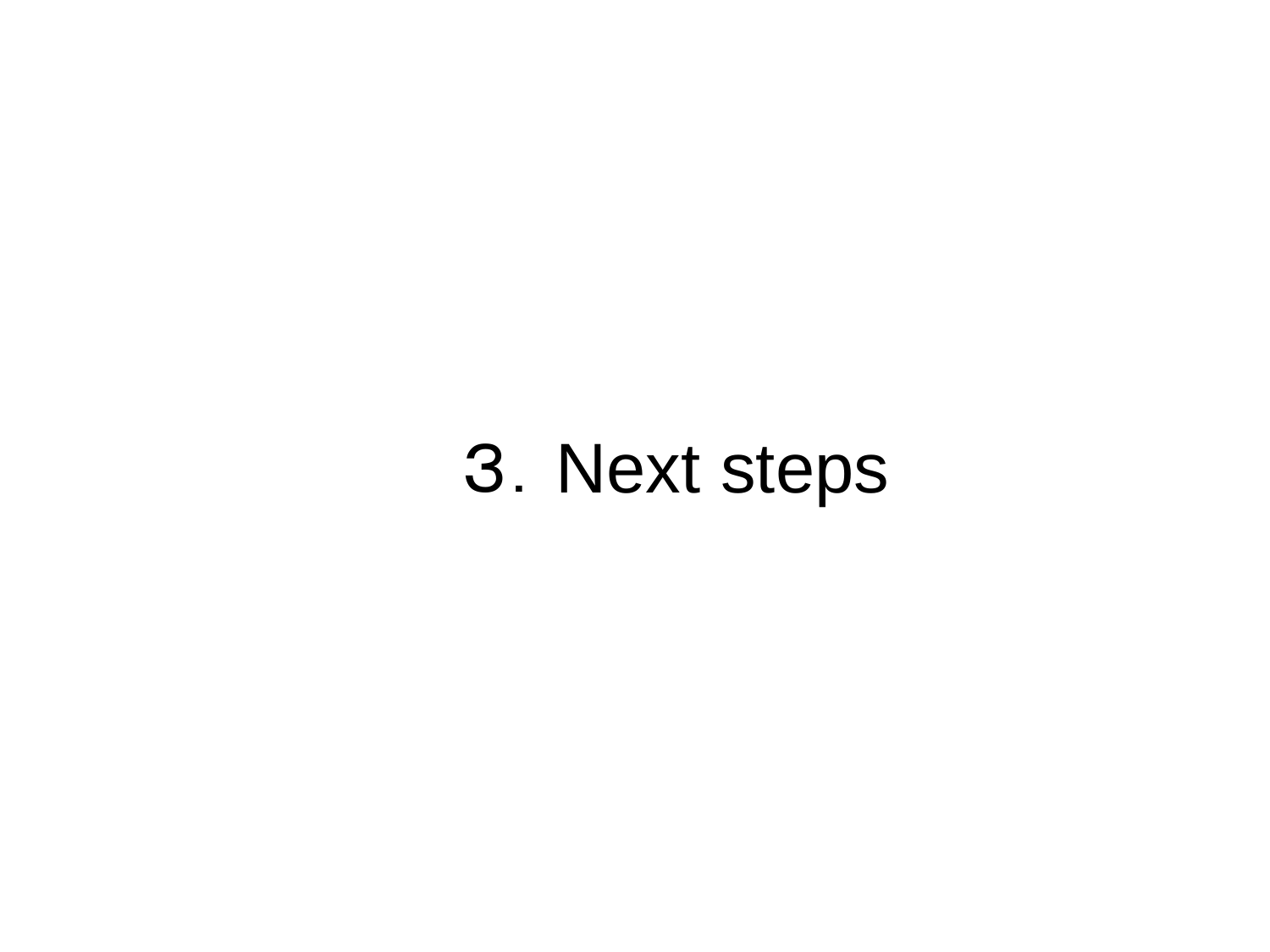# 3.Next steps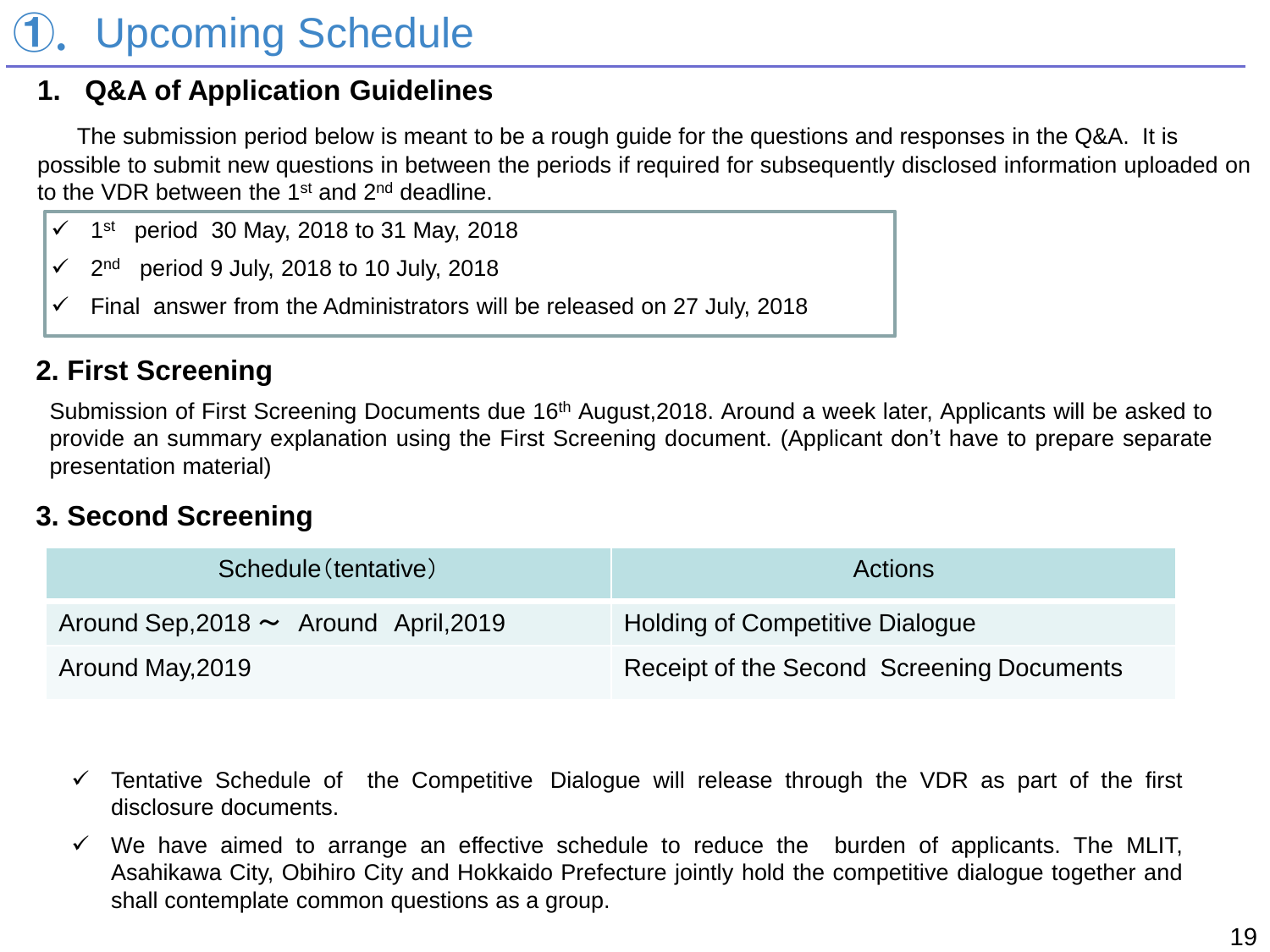# **Upcoming Schedule**

### **1. Q&A of Application Guidelines**

The submission period below is meant to be a rough guide for the questions and responses in the Q&A. It is possible to submit new questions in between the periods if required for subsequently disclosed information uploaded on to the VDR between the 1<sup>st</sup> and 2<sup>nd</sup> deadline.

- $\sim$  2<sup>nd</sup> period 9 July, 2018 to 10 July, 2018
- $\checkmark$  Final answer from the Administrators will be released on 27 July, 2018

### **2. First Screening**

Submission of First Screening Documents due 16<sup>th</sup> August, 2018. Around a week later, Applicants will be asked to provide an summary explanation using the First Screening document. (Applicant don't have to prepare separate presentation material)

### **3. Second Screening**

| Schedule (tentative)                       | <b>Actions</b>                            |
|--------------------------------------------|-------------------------------------------|
| Around Sep, 2018 $\sim$ Around April, 2019 | <b>Holding of Competitive Dialogue</b>    |
| Around May, 2019                           | Receipt of the Second Screening Documents |

- $\checkmark$  Tentative Schedule of the Competitive Dialogue will release through the VDR as part of the first disclosure documents.
- $\checkmark$  We have aimed to arrange an effective schedule to reduce the burden of applicants. The MLIT, Asahikawa City, Obihiro City and Hokkaido Prefecture jointly hold the competitive dialogue together and shall contemplate common questions as a group.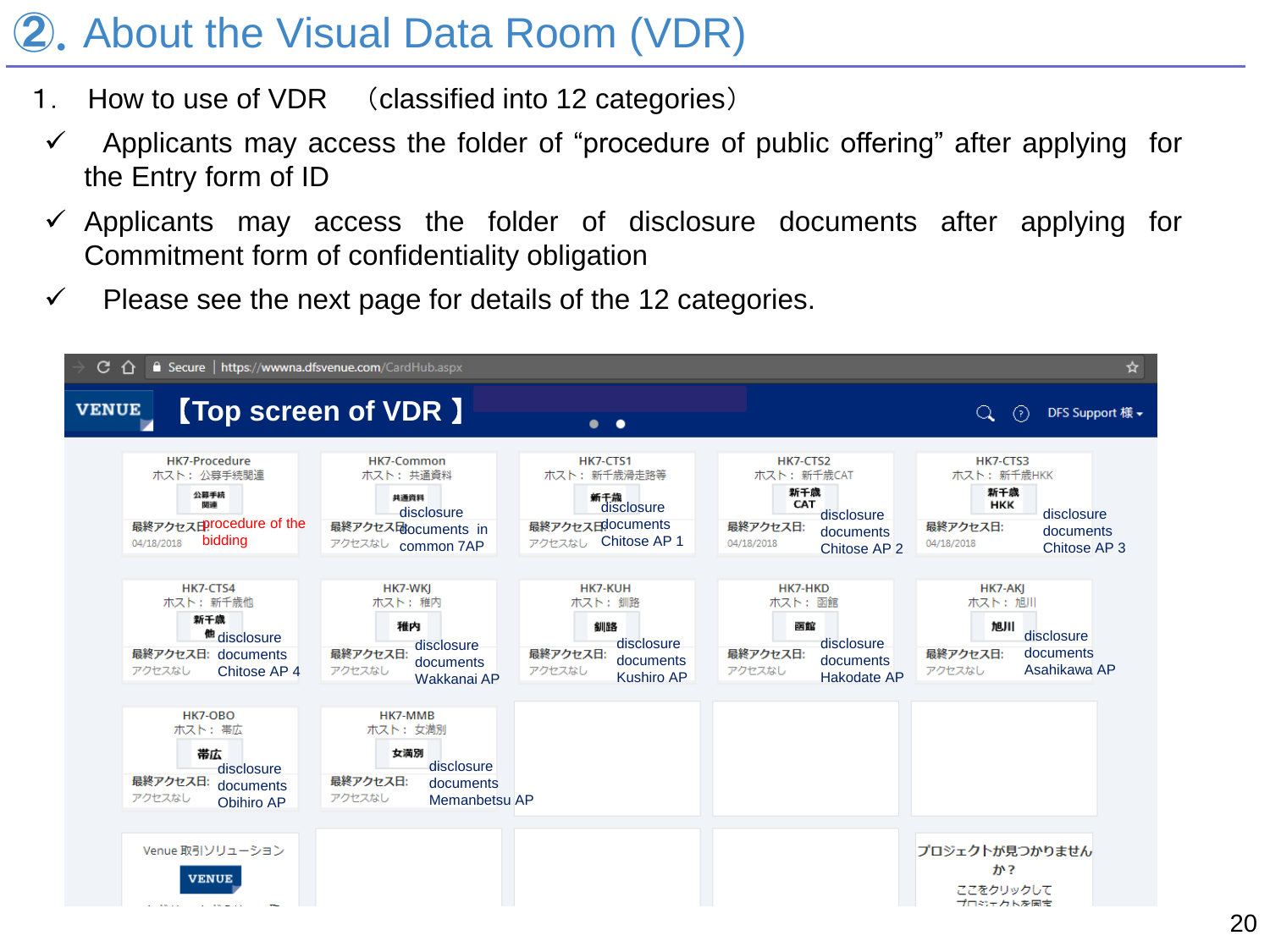# ②.About the Visual Data Room (VDR)

- 1. How to use of VDR (classified into 12 categories)
- $\checkmark$  Applicants may access the folder of "procedure of public offering" after applying for the Entry form of ID
- $\checkmark$  Applicants may access the folder of disclosure documents after applying for Commitment form of confidentiality obligation
- $\checkmark$  Please see the next page for details of the 12 categories.

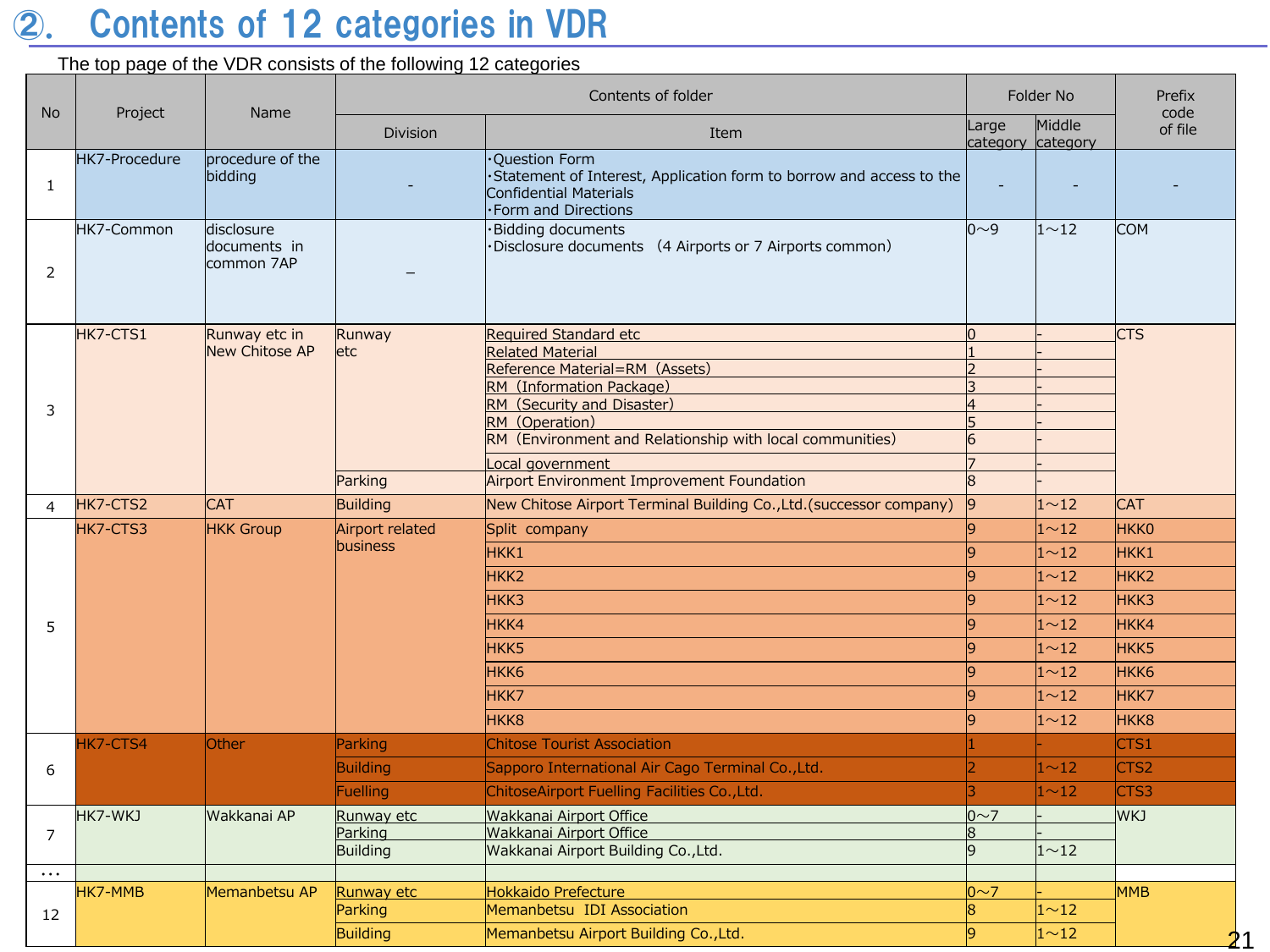# ②. Contents of 12 categories in VDR

### The top page of the VDR consists of the following 12 categories

|                |               |                                          | Contents of folder      |                                                                                                                                        | Folder No                      |                             | Prefix<br>code   |
|----------------|---------------|------------------------------------------|-------------------------|----------------------------------------------------------------------------------------------------------------------------------------|--------------------------------|-----------------------------|------------------|
| <b>No</b>      | Project       | Name                                     | <b>Division</b>         | Large<br>Item                                                                                                                          |                                | Middle<br>category category | of file          |
| $\mathbf{1}$   | HK7-Procedure | procedure of the<br>bidding              |                         | Ouestion Form<br>Statement of Interest, Application form to borrow and access to the<br>Confidential Materials<br>·Form and Directions |                                |                             |                  |
| 2              | HK7-Common    | disclosure<br>documents in<br>common 7AP |                         | $0\sim9$<br>·Bidding documents<br>Disclosure documents (4 Airports or 7 Airports common)                                               |                                | $1^{\sim}12$                | <b>COM</b>       |
|                | HK7-CTS1      | Runway etc in                            | Runway                  | <b>Required Standard etc</b>                                                                                                           | lo                             |                             | <b>CTS</b>       |
|                |               | <b>New Chitose AP</b>                    | letc                    | <b>Related Material</b><br>Reference Material=RM (Assets)                                                                              | l d                            |                             |                  |
|                |               |                                          |                         | RM (Information Package)                                                                                                               | 3                              |                             |                  |
| 3              |               |                                          |                         | RM (Security and Disaster)                                                                                                             | 4                              |                             |                  |
|                |               |                                          |                         | RM (Operation)                                                                                                                         | 5                              |                             |                  |
|                |               |                                          |                         | RM (Environment and Relationship with local communities)                                                                               | 6                              |                             |                  |
|                |               |                                          |                         | Local government                                                                                                                       | 17                             |                             |                  |
|                |               |                                          | Parking                 | Airport Environment Improvement Foundation                                                                                             | R                              |                             |                  |
| 4              | HK7-CTS2      | <b>CAT</b>                               | Building                | New Chitose Airport Terminal Building Co., Ltd. (successor company)                                                                    | 9                              | $1^{\sim}12$                | <b>CAT</b>       |
|                | HK7-CTS3      | <b>HKK Group</b>                         | Airport related         | Split company                                                                                                                          | l9                             | $1^{\sim}12$                | <b>HKKO</b>      |
|                |               |                                          | business                | HKK1                                                                                                                                   | 9                              | 1 <sub>12</sub>             | HKK1             |
|                |               |                                          |                         | HKK <sub>2</sub>                                                                                                                       | 9                              | $1^{\sim}12$                | HKK <sub>2</sub> |
|                |               |                                          |                         | HKK3                                                                                                                                   | l9                             | $1^{\sim}12$                | HKK3             |
| 5              |               |                                          |                         | HKK4                                                                                                                                   | 9                              | $1^{\sim}12$                | HKK4             |
|                |               |                                          |                         | HKK <sub>5</sub>                                                                                                                       | l9                             | $1^{\sim}12$                | HKK5             |
|                |               |                                          |                         | HKK <sub>6</sub>                                                                                                                       | 9                              | $1^{\sim}12$                | HKK <sub>6</sub> |
|                |               |                                          |                         | HKK7                                                                                                                                   | 9                              | $1^{\sim}12$                | HKK7             |
|                |               |                                          |                         | HKK <sub>8</sub>                                                                                                                       | 9                              | $1^{\sim}12$                | HKK <sub>8</sub> |
|                | HK7-CTS4      | Other                                    | Parking                 | <b>Chitose Tourist Association</b>                                                                                                     |                                |                             | $\subset$ TS1    |
| 6              |               |                                          | <b>Building</b>         | Sapporo International Air Cago Terminal Co., Ltd.                                                                                      | 2                              | $1 \sim 12$                 | CTS <sub>2</sub> |
|                |               |                                          | Fuelling                | ChitoseAirport Fuelling Facilities Co., Ltd.                                                                                           | 3                              | $1^{\sim}12$                | CTS3             |
|                | HK7-WKJ       | Wakkanai AP                              | Runway etc              | Wakkanai Airport Office                                                                                                                | $0 \sim 7$                     |                             | <b>WKJ</b>       |
| $\overline{7}$ |               | Parking                                  | Wakkanai Airport Office | 8                                                                                                                                      |                                |                             |                  |
|                |               | Building                                 |                         | Wakkanai Airport Building Co., Ltd.                                                                                                    | $\overline{9}$<br>$1^{\sim}12$ |                             |                  |
| $\cdots$       |               |                                          |                         |                                                                                                                                        |                                |                             |                  |
|                | HK7-MMB       | Memanbetsu AP                            | Runway etc              | Hokkaido Prefecture                                                                                                                    | $0\sim$ 7                      |                             | <b>MMB</b>       |
| 12             |               | Parking                                  |                         | Memanbetsu IDI Association                                                                                                             | l8                             | $1^{\sim}12$                |                  |
|                |               |                                          | Building                | Memanbetsu Airport Building Co., Ltd.                                                                                                  | l9                             | $1^{\sim}12$                | 21               |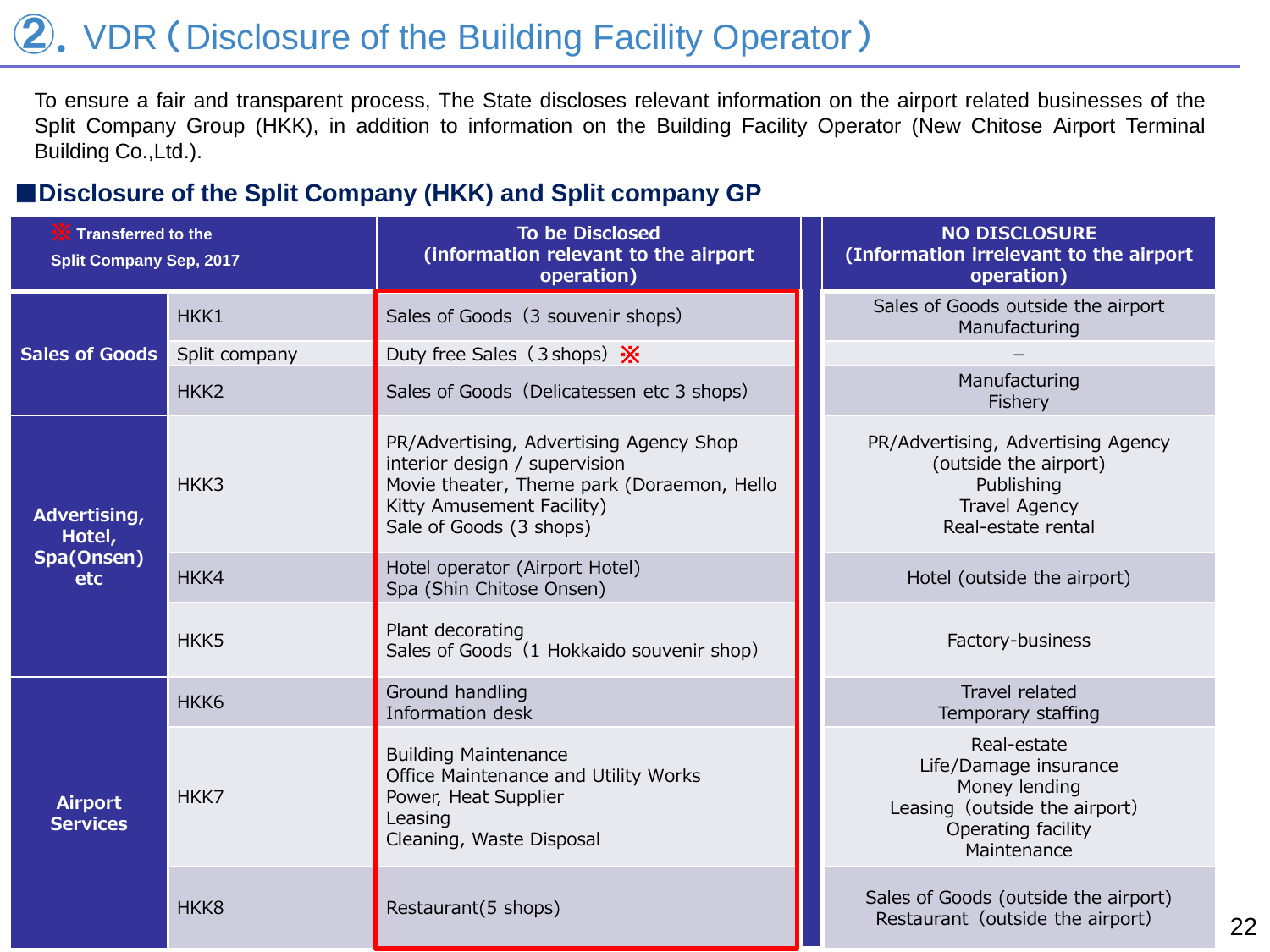# 2. VDR (Disclosure of the Building Facility Operator)

To ensure a fair and transparent process, The State discloses relevant information on the airport related businesses of the Split Company Group (HKK), in addition to information on the Building Facility Operator (New Chitose Airport Terminal Building Co.,Ltd.).

### ■**Disclosure of the Split Company (HKK) and Split company GP**

| <b>Transferred to the</b><br><b>Split Company Sep, 2017</b> |                  | <b>To be Disclosed</b><br>(information relevant to the airport<br>operation)                                                                                                   | <b>NO DISCLOSURE</b><br>(Information irrelevant to the airport<br>operation)                                                |
|-------------------------------------------------------------|------------------|--------------------------------------------------------------------------------------------------------------------------------------------------------------------------------|-----------------------------------------------------------------------------------------------------------------------------|
|                                                             | HKK1             | Sales of Goods (3 souvenir shops)                                                                                                                                              | Sales of Goods outside the airport<br>Manufacturing                                                                         |
| <b>Sales of Goods</b>                                       | Split company    | Duty free Sales (3 shops) $\frac{1}{2}$                                                                                                                                        |                                                                                                                             |
|                                                             | HKK <sub>2</sub> | Sales of Goods (Delicatessen etc 3 shops)                                                                                                                                      | Manufacturing<br>Fishery                                                                                                    |
| Advertising,<br>Hotel,                                      | HKK3             | PR/Advertising, Advertising Agency Shop<br>interior design / supervision<br>Movie theater, Theme park (Doraemon, Hello<br>Kitty Amusement Facility)<br>Sale of Goods (3 shops) | PR/Advertising, Advertising Agency<br>(outside the airport)<br>Publishing<br><b>Travel Agency</b><br>Real-estate rental     |
| Spa(Onsen)<br>etc                                           | HKK4             | Hotel operator (Airport Hotel)<br>Spa (Shin Chitose Onsen)                                                                                                                     | Hotel (outside the airport)                                                                                                 |
|                                                             | HKK <sub>5</sub> | Plant decorating<br>Sales of Goods (1 Hokkaido souvenir shop)                                                                                                                  | Factory-business                                                                                                            |
|                                                             | HKK <sub>6</sub> | Ground handling<br>Information desk                                                                                                                                            | Travel related<br>Temporary staffing                                                                                        |
| <b>Airport</b><br><b>Services</b>                           | HKK7             | <b>Building Maintenance</b><br>Office Maintenance and Utility Works<br>Power, Heat Supplier<br>Leasing<br>Cleaning, Waste Disposal                                             | Real-estate<br>Life/Damage insurance<br>Money lending<br>Leasing (outside the airport)<br>Operating facility<br>Maintenance |
|                                                             | HKK8             | Restaurant(5 shops)                                                                                                                                                            | Sales of Goods (outside the airport)<br>Restaurant (outside the airport)                                                    |

22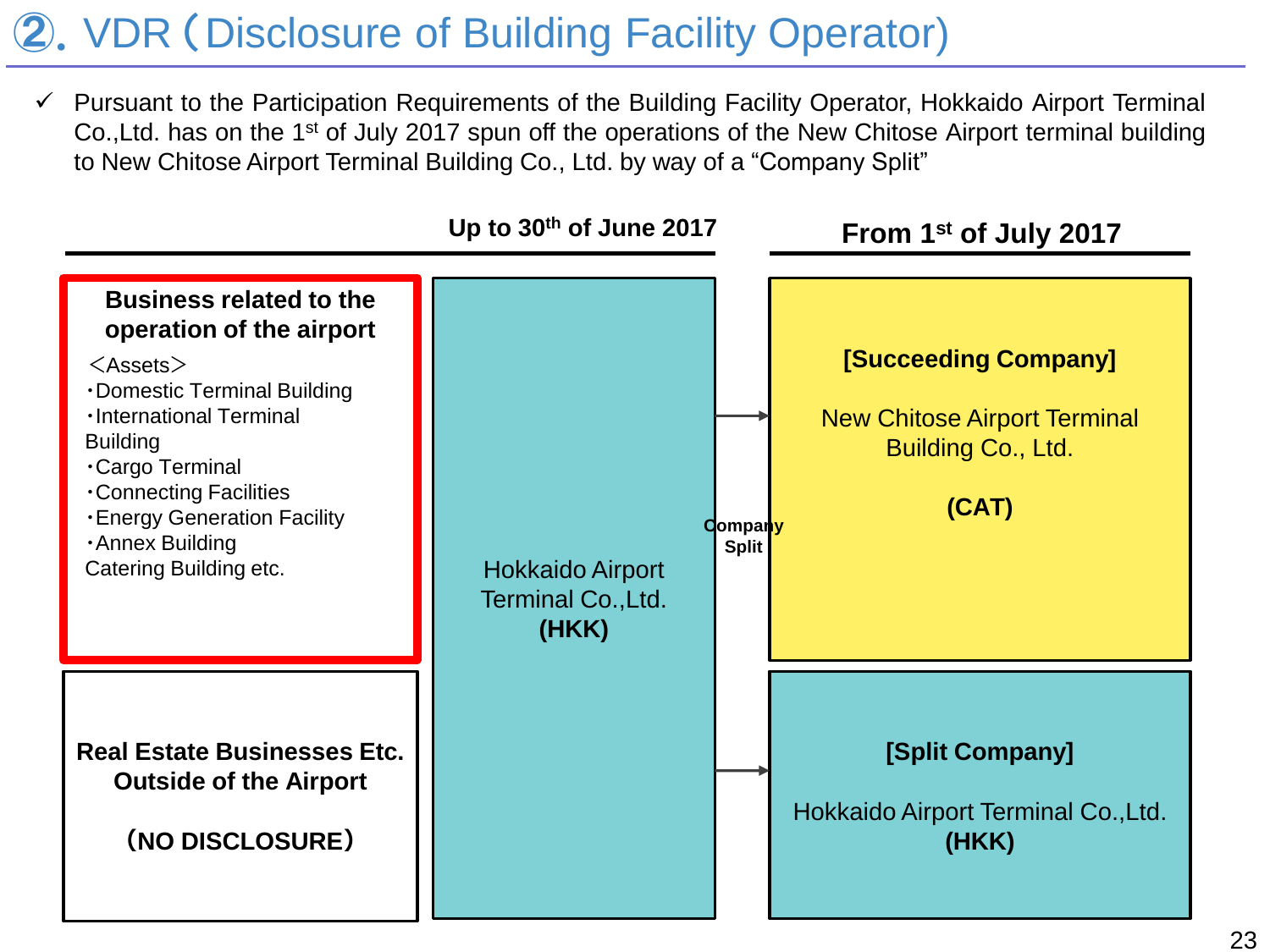# ②.VDR (Disclosure of Building Facility Operator)

 Pursuant to the Participation Requirements of the Building Facility Operator, Hokkaido Airport Terminal Co., Ltd. has on the 1<sup>st</sup> of July 2017 spun off the operations of the New Chitose Airport terminal building to New Chitose Airport Terminal Building Co., Ltd. by way of a "Company Split"